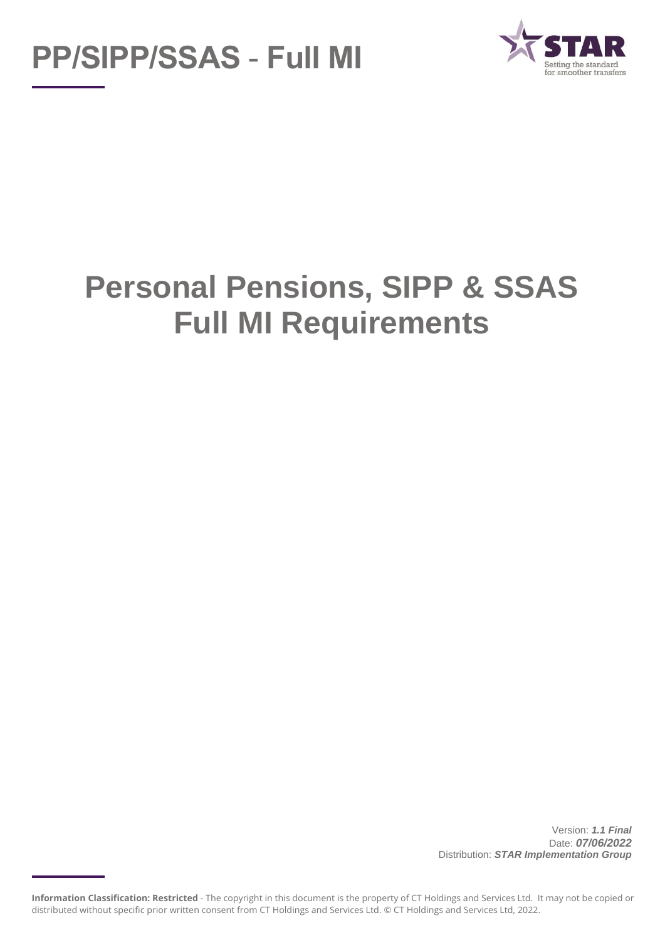



# **Personal Pensions, SIPP & SSAS Full MI Requirements**

Version: *1.1 Final* Date: *07/06/2022* Distribution: *STAR Implementation Group*

**Information Classification: Restricted** - The copyright in this document is the property of CT Holdings and Services Ltd. It may not be copied or distributed without specific prior written consent from CT Holdings and Services Ltd. © CT Holdings and Services Ltd, 2022.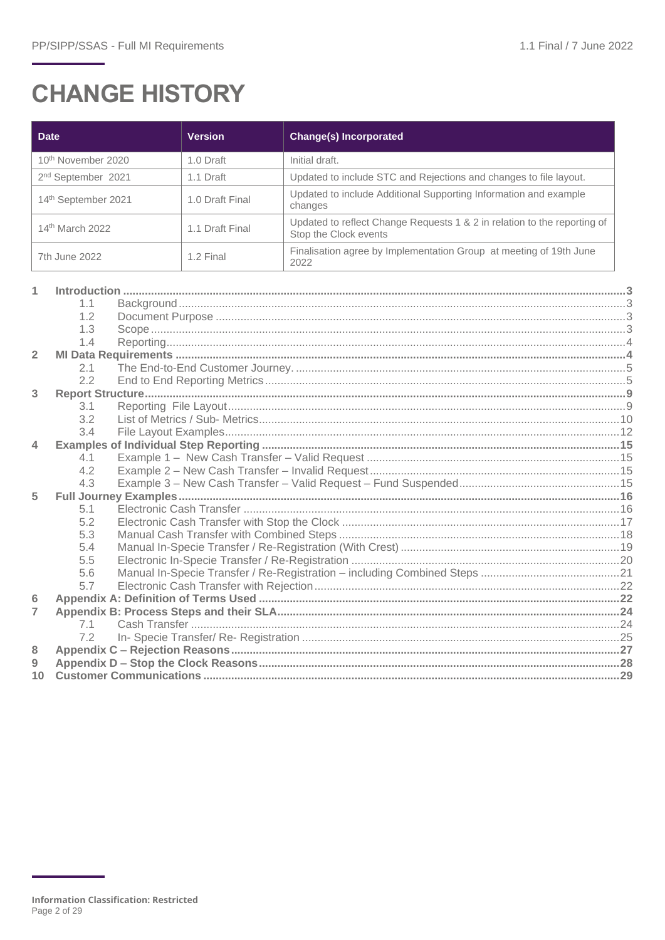## **CHANGE HISTORY**

| <b>Date</b>                    | <b>Version</b>  | <b>Change(s) Incorporated</b>                                                                     |
|--------------------------------|-----------------|---------------------------------------------------------------------------------------------------|
| 10 <sup>th</sup> November 2020 | 1.0 Draft       | Initial draft.                                                                                    |
| 2 <sup>nd</sup> September 2021 | 1.1 Draft       | Updated to include STC and Rejections and changes to file layout.                                 |
| 14th September 2021            | 1.0 Draft Final | Updated to include Additional Supporting Information and example<br>changes                       |
| 14 <sup>th</sup> March 2022    | 1.1 Draft Final | Updated to reflect Change Requests 1 & 2 in relation to the reporting of<br>Stop the Clock events |
| 7th June 2022                  | 1.2 Final       | Finalisation agree by Implementation Group at meeting of 19th June<br>2022                        |

|                | 1.1 |  |
|----------------|-----|--|
|                | 1.2 |  |
|                | 1.3 |  |
|                | 1.4 |  |
| $\overline{2}$ |     |  |
|                | 2.1 |  |
|                | 2.2 |  |
| 3              |     |  |
|                | 3.1 |  |
|                | 3.2 |  |
|                | 3.4 |  |
| 4              |     |  |
|                | 4.1 |  |
|                | 4.2 |  |
|                | 4.3 |  |
| 5              |     |  |
|                | 5.1 |  |
|                | 5.2 |  |
|                | 5.3 |  |
|                | 5.4 |  |
|                | 5.5 |  |
|                | 5.6 |  |
|                | 5.7 |  |
| 6              |     |  |
| 7              |     |  |
|                | 7.1 |  |
|                | 7.2 |  |
| 8              |     |  |
| 9              |     |  |
| 10             |     |  |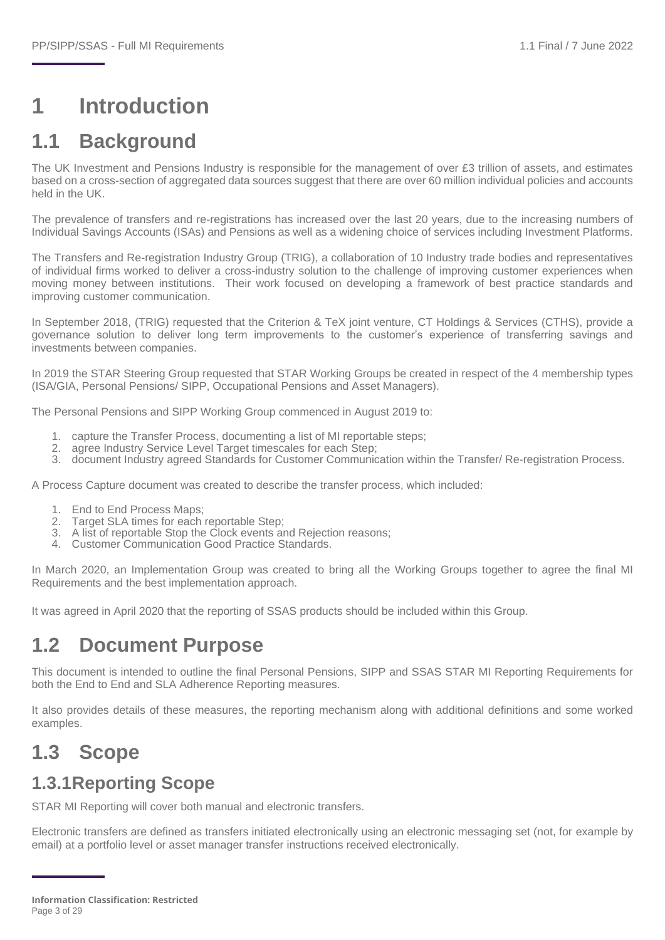## <span id="page-2-0"></span>**1 Introduction**

## <span id="page-2-1"></span>**1.1 Background**

The UK Investment and Pensions Industry is responsible for the management of over £3 trillion of assets, and estimates based on a cross-section of aggregated data sources suggest that there are over 60 million individual policies and accounts held in the UK.

The prevalence of transfers and re-registrations has increased over the last 20 years, due to the increasing numbers of Individual Savings Accounts (ISAs) and Pensions as well as a widening choice of services including Investment Platforms.

The Transfers and Re-registration Industry Group (TRIG), a collaboration of 10 Industry trade bodies and representatives of individual firms worked to deliver a cross-industry solution to the challenge of improving customer experiences when moving money between institutions. Their work focused on developing a framework of best practice standards and improving customer communication.

In September 2018, (TRIG) requested that the Criterion & TeX joint venture, CT Holdings & Services (CTHS), provide a governance solution to deliver long term improvements to the customer's experience of transferring savings and investments between companies.

In 2019 the STAR Steering Group requested that STAR Working Groups be created in respect of the 4 membership types (ISA/GIA, Personal Pensions/ SIPP, Occupational Pensions and Asset Managers).

The Personal Pensions and SIPP Working Group commenced in August 2019 to:

- 1. capture the Transfer Process, documenting a list of MI reportable steps;
- 2. agree Industry Service Level Target timescales for each Step:
- 3. document Industry agreed Standards for Customer Communication within the Transfer/ Re-registration Process.

A Process Capture document was created to describe the transfer process, which included:

- 1. End to End Process Maps;
- 2. Target SLA times for each reportable Step;
- 3. A list of reportable Stop the Clock events and Rejection reasons;
- 4. Customer Communication Good Practice Standards.

In March 2020, an Implementation Group was created to bring all the Working Groups together to agree the final MI Requirements and the best implementation approach.

It was agreed in April 2020 that the reporting of SSAS products should be included within this Group.

## <span id="page-2-2"></span>**1.2 Document Purpose**

This document is intended to outline the final Personal Pensions, SIPP and SSAS STAR MI Reporting Requirements for both the End to End and SLA Adherence Reporting measures.

It also provides details of these measures, the reporting mechanism along with additional definitions and some worked examples.

## <span id="page-2-3"></span>**1.3 Scope**

#### **1.3.1Reporting Scope**

STAR MI Reporting will cover both manual and electronic transfers.

Electronic transfers are defined as transfers initiated electronically using an electronic messaging set (not, for example by email) at a portfolio level or asset manager transfer instructions received electronically.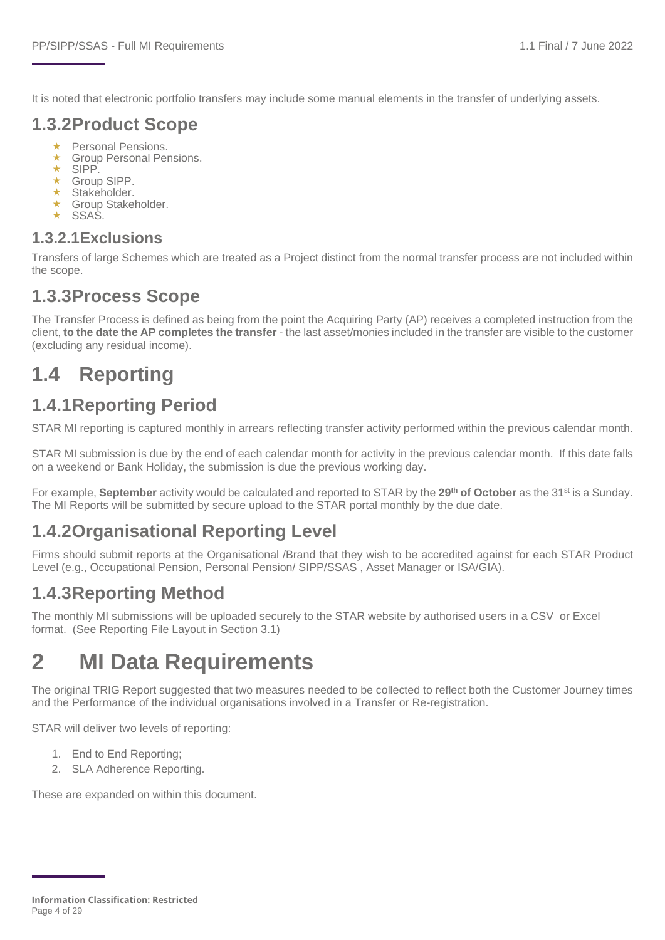It is noted that electronic portfolio transfers may include some manual elements in the transfer of underlying assets.

#### **1.3.2Product Scope**

- ★ Personal Pensions.<br>← Group Personal Per
- Group Personal Pensions.
- SIPP.
- Group SIPP.
- $\star$  Stakeholder.
- ★ Group Stakeholder.
- $\star$  SSAS.

#### **1.3.2.1Exclusions**

Transfers of large Schemes which are treated as a Project distinct from the normal transfer process are not included within the scope.

#### **1.3.3Process Scope**

The Transfer Process is defined as being from the point the Acquiring Party (AP) receives a completed instruction from the client, **to the date the AP completes the transfer** - the last asset/monies included in the transfer are visible to the customer (excluding any residual income).

## <span id="page-3-0"></span>**1.4 Reporting**

### **1.4.1Reporting Period**

STAR MI reporting is captured monthly in arrears reflecting transfer activity performed within the previous calendar month.

STAR MI submission is due by the end of each calendar month for activity in the previous calendar month. If this date falls on a weekend or Bank Holiday, the submission is due the previous working day.

For example, **September** activity would be calculated and reported to STAR by the **29th of October** as the 31st is a Sunday. The MI Reports will be submitted by secure upload to the STAR portal monthly by the due date.

### **1.4.2Organisational Reporting Level**

Firms should submit reports at the Organisational /Brand that they wish to be accredited against for each STAR Product Level (e.g., Occupational Pension, Personal Pension/ SIPP/SSAS , Asset Manager or ISA/GIA).

### **1.4.3Reporting Method**

The monthly MI submissions will be uploaded securely to the STAR website by authorised users in a CSV or Excel format. (See Reporting File Layout in Section 3.1)

## <span id="page-3-1"></span>**2 MI Data Requirements**

The original TRIG Report suggested that two measures needed to be collected to reflect both the Customer Journey times and the Performance of the individual organisations involved in a Transfer or Re-registration.

STAR will deliver two levels of reporting:

- 1. End to End Reporting;
- 2. SLA Adherence Reporting.

These are expanded on within this document.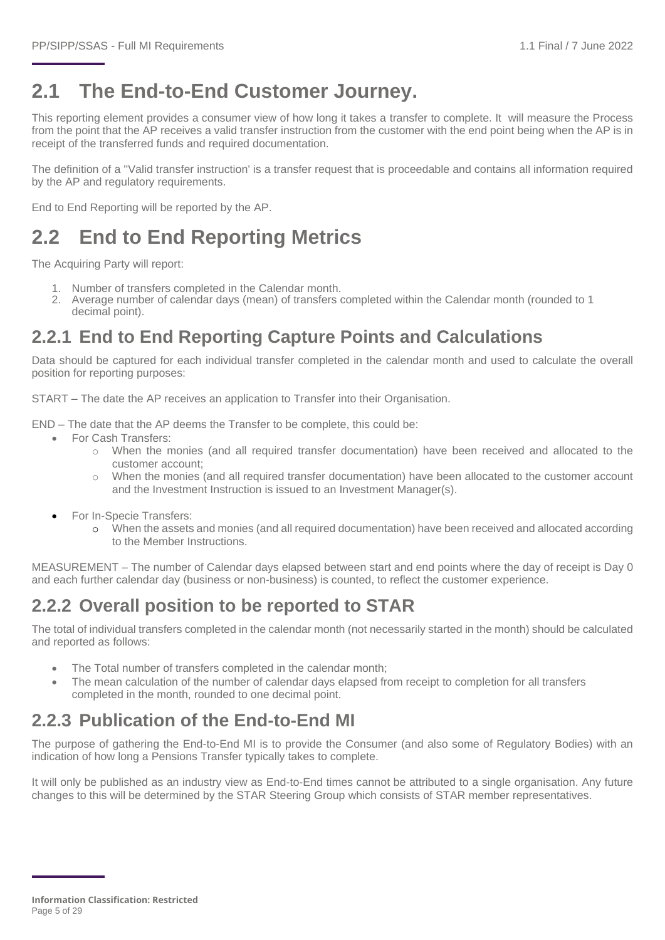## <span id="page-4-0"></span>**2.1 The End-to-End Customer Journey.**

This reporting element provides a consumer view of how long it takes a transfer to complete. It will measure the Process from the point that the AP receives a valid transfer instruction from the customer with the end point being when the AP is in receipt of the transferred funds and required documentation.

The definition of a ''Valid transfer instruction' is a transfer request that is proceedable and contains all information required by the AP and regulatory requirements.

End to End Reporting will be reported by the AP.

## <span id="page-4-1"></span>**2.2 End to End Reporting Metrics**

The Acquiring Party will report:

- 1. Number of transfers completed in the Calendar month.
- 2. Average number of calendar days (mean) of transfers completed within the Calendar month (rounded to 1 decimal point).

### **2.2.1 End to End Reporting Capture Points and Calculations**

Data should be captured for each individual transfer completed in the calendar month and used to calculate the overall position for reporting purposes:

START – The date the AP receives an application to Transfer into their Organisation.

END – The date that the AP deems the Transfer to be complete, this could be:

- For Cash Transfers:
	- o When the monies (and all required transfer documentation) have been received and allocated to the customer account;
	- o When the monies (and all required transfer documentation) have been allocated to the customer account and the Investment Instruction is issued to an Investment Manager(s).
- For In-Specie Transfers:
	- o When the assets and monies (and all required documentation) have been received and allocated according to the Member Instructions.

MEASUREMENT – The number of Calendar days elapsed between start and end points where the day of receipt is Day 0 and each further calendar day (business or non-business) is counted, to reflect the customer experience.

### **2.2.2 Overall position to be reported to STAR**

The total of individual transfers completed in the calendar month (not necessarily started in the month) should be calculated and reported as follows:

- The Total number of transfers completed in the calendar month;
- The mean calculation of the number of calendar days elapsed from receipt to completion for all transfers completed in the month, rounded to one decimal point.

## **2.2.3 Publication of the End-to-End MI**

The purpose of gathering the End-to-End MI is to provide the Consumer (and also some of Regulatory Bodies) with an indication of how long a Pensions Transfer typically takes to complete.

It will only be published as an industry view as End-to-End times cannot be attributed to a single organisation. Any future changes to this will be determined by the STAR Steering Group which consists of STAR member representatives.

**Information Classification: Restricted** Page 5 of 29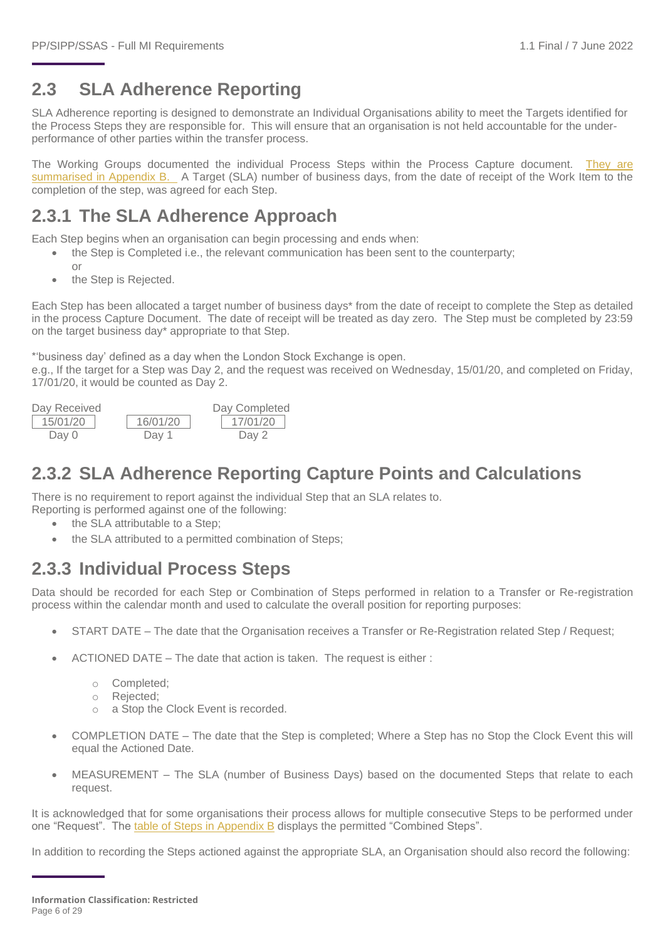## **2.3 SLA Adherence Reporting**

SLA Adherence reporting is designed to demonstrate an Individual Organisations ability to meet the Targets identified for the Process Steps they are responsible for. This will ensure that an organisation is not held accountable for the underperformance of other parties within the transfer process.

The Working Groups documented the individual Process Steps within the Process Capture document. [They are](#page-23-0)  [summarised in Appendix B.](#page-23-0) A Target (SLA) number of business days, from the date of receipt of the Work Item to the completion of the step, was agreed for each Step.

#### **2.3.1 The SLA Adherence Approach**

Each Step begins when an organisation can begin processing and ends when:

- the Step is Completed i.e., the relevant communication has been sent to the counterparty;
- or
- the Step is Rejected.

Each Step has been allocated a target number of business days\* from the date of receipt to complete the Step as detailed in the process Capture Document. The date of receipt will be treated as day zero. The Step must be completed by 23:59 on the target business day\* appropriate to that Step.

\*'business day' defined as a day when the London Stock Exchange is open.

e.g., If the target for a Step was Day 2, and the request was received on Wednesday, 15/01/20, and completed on Friday, 17/01/20, it would be counted as Day 2.



### **2.3.2 SLA Adherence Reporting Capture Points and Calculations**

There is no requirement to report against the individual Step that an SLA relates to.

- Reporting is performed against one of the following:
	- the SLA attributable to a Step:
	- the SLA attributed to a permitted combination of Steps;

### **2.3.3 Individual Process Steps**

Data should be recorded for each Step or Combination of Steps performed in relation to a Transfer or Re-registration process within the calendar month and used to calculate the overall position for reporting purposes:

- START DATE The date that the Organisation receives a Transfer or Re-Registration related Step / Request;
- ACTIONED DATE The date that action is taken. The request is either :
	- o Completed;
	- o Rejected;
	- o a Stop the Clock Event is recorded.
- COMPLETION DATE The date that the Step is completed; Where a Step has no Stop the Clock Event this will equal the Actioned Date.
- MEASUREMENT The SLA (number of Business Days) based on the documented Steps that relate to each request.

It is acknowledged that for some organisations their process allows for multiple consecutive Steps to be performed under one "Request". The [table of Steps in Appendix](#page-23-0) B displays the permitted "Combined Steps".

In addition to recording the Steps actioned against the appropriate SLA, an Organisation should also record the following: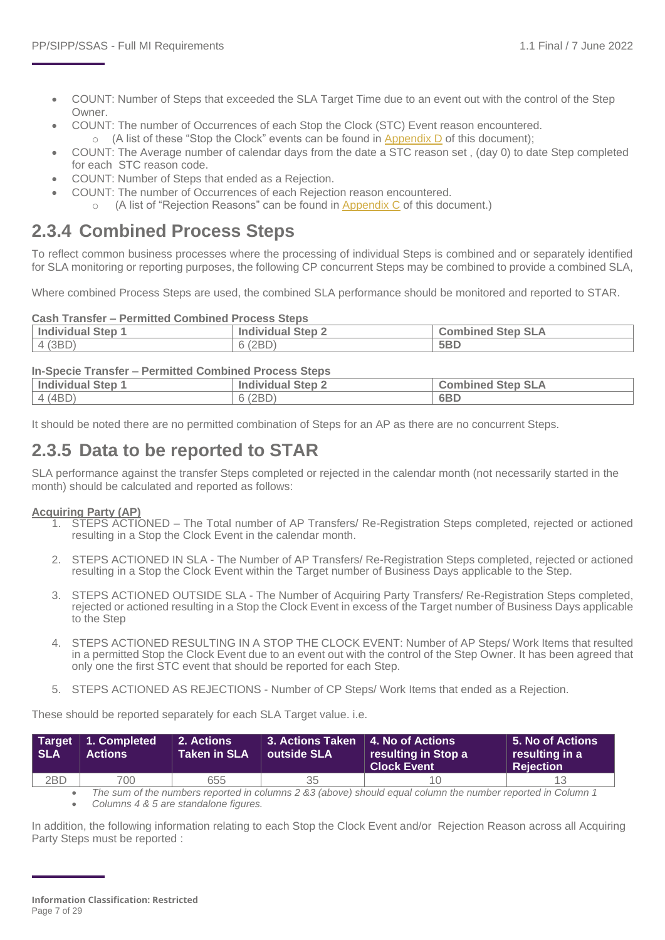- COUNT: Number of Steps that exceeded the SLA Target Time due to an event out with the control of the Step Owner.
- COUNT: The number of Occurrences of each Stop the Clock (STC) Event reason encountered.  $\circ$  (A list of these "Stop the Clock" events can be found in Appendix D of this document);
- COUNT: The Average number of calendar days from the date a STC reason set , (day 0) to date Step completed for each STC reason code.
- COUNT: Number of Steps that ended as a Rejection.
	- COUNT: The number of Occurrences of each Rejection reason encountered.
		- (A list of "Rejection Reasons" can be found in [Appendix C](#page-26-0) of this document.)

#### **2.3.4 Combined Process Steps**

To reflect common business processes where the processing of individual Steps is combined and or separately identified for SLA monitoring or reporting purposes, the following CP concurrent Steps may be combined to provide a combined SLA,

Where combined Process Steps are used, the combined SLA performance should be monitored and reported to STAR.

#### **Cash Transfer – Permitted Combined Process Steps**

| <b>Individual Step 1</b> | <b>Individual Step 2</b> | <b>Combined Step SLA</b> |  |  |
|--------------------------|--------------------------|--------------------------|--|--|
| 4 (3BD)                  | 6(2BD)                   | 5BD                      |  |  |

#### **In-Specie Transfer – Permitted Combined Process Steps**

| Individual Step 1 | $\overline{\phantom{a}}$ Step $\overline{\phantom{a}}$<br>Individual | <b>Combined Step SLA</b> |
|-------------------|----------------------------------------------------------------------|--------------------------|
| 4 (4BD)           | 6(2BD)                                                               | 6BD                      |

It should be noted there are no permitted combination of Steps for an AP as there are no concurrent Steps.

#### **2.3.5 Data to be reported to STAR**

SLA performance against the transfer Steps completed or rejected in the calendar month (not necessarily started in the month) should be calculated and reported as follows:

#### **Acquiring Party (AP)**

- 1. STEPS ACTIONED The Total number of AP Transfers/ Re-Registration Steps completed, rejected or actioned resulting in a Stop the Clock Event in the calendar month.
- 2. STEPS ACTIONED IN SLA The Number of AP Transfers/ Re-Registration Steps completed, rejected or actioned resulting in a Stop the Clock Event within the Target number of Business Days applicable to the Step.
- 3. STEPS ACTIONED OUTSIDE SLA The Number of Acquiring Party Transfers/ Re-Registration Steps completed, rejected or actioned resulting in a Stop the Clock Event in excess of the Target number of Business Days applicable to the Step
- 4. STEPS ACTIONED RESULTING IN A STOP THE CLOCK EVENT: Number of AP Steps/ Work Items that resulted in a permitted Stop the Clock Event due to an event out with the control of the Step Owner. It has been agreed that only one the first STC event that should be reported for each Step.
- 5. STEPS ACTIONED AS REJECTIONS Number of CP Steps/ Work Items that ended as a Rejection.

These should be reported separately for each SLA Target value. i.e.

| <b>SLA</b> | Target 1. Completed<br><b>Actions</b> | 2. Actions<br><b>Taken in SLA</b> | 3. Actions Taken   4. No of Actions<br>$\vert$ outside SLA | resulting in Stop a<br><b>Clock Event</b> | $\vert$ 5. No of Actions $\vert$<br>resulting in a<br><b>Rejection</b> |
|------------|---------------------------------------|-----------------------------------|------------------------------------------------------------|-------------------------------------------|------------------------------------------------------------------------|
| 2BD        | 700                                   | 655                               | 35                                                         |                                           |                                                                        |

• *The sum of the numbers reported in columns 2 &3 (above) should equal column the number reported in Column 1* • *Columns 4 & 5 are standalone figures.* 

In addition, the following information relating to each Stop the Clock Event and/or Rejection Reason across all Acquiring Party Steps must be reported :

**Information Classification: Restricted** Page 7 of 29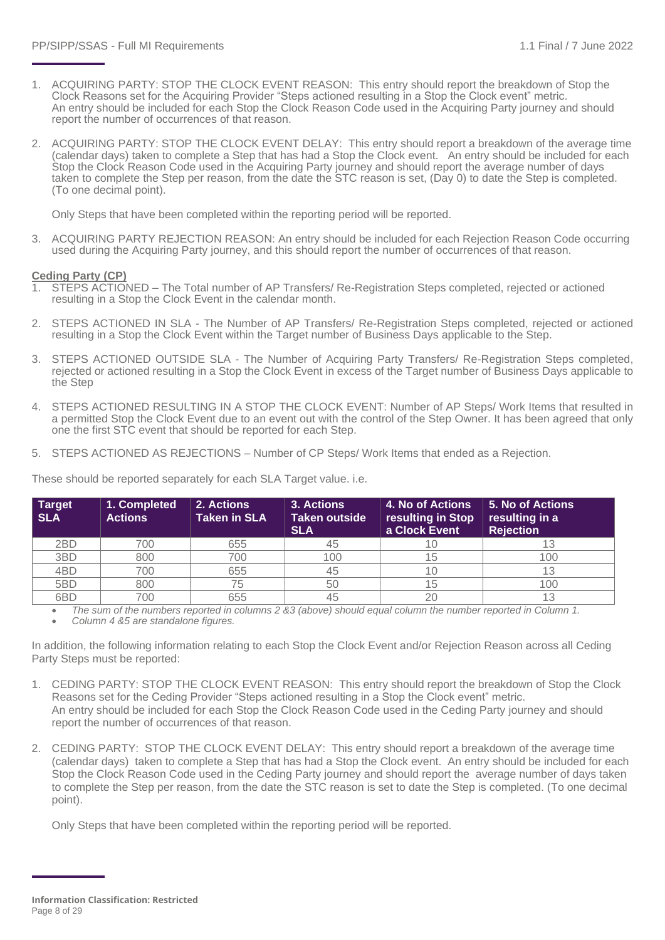- 1. ACQUIRING PARTY: STOP THE CLOCK EVENT REASON: This entry should report the breakdown of Stop the Clock Reasons set for the Acquiring Provider "Steps actioned resulting in a Stop the Clock event" metric. An entry should be included for each Stop the Clock Reason Code used in the Acquiring Party journey and should report the number of occurrences of that reason.
- 2. ACQUIRING PARTY: STOP THE CLOCK EVENT DELAY: This entry should report a breakdown of the average time (calendar days) taken to complete a Step that has had a Stop the Clock event. An entry should be included for each Stop the Clock Reason Code used in the Acquiring Party journey and should report the average number of days taken to complete the Step per reason, from the date the STC reason is set, (Day 0) to date the Step is completed. (To one decimal point).

Only Steps that have been completed within the reporting period will be reported.

3. ACQUIRING PARTY REJECTION REASON: An entry should be included for each Rejection Reason Code occurring used during the Acquiring Party journey, and this should report the number of occurrences of that reason.

#### **Ceding Party (CP)**

- 1. STEPS ACTIONED The Total number of AP Transfers/ Re-Registration Steps completed, rejected or actioned resulting in a Stop the Clock Event in the calendar month.
- 2. STEPS ACTIONED IN SLA The Number of AP Transfers/ Re-Registration Steps completed, rejected or actioned resulting in a Stop the Clock Event within the Target number of Business Days applicable to the Step.
- 3. STEPS ACTIONED OUTSIDE SLA The Number of Acquiring Party Transfers/ Re-Registration Steps completed, rejected or actioned resulting in a Stop the Clock Event in excess of the Target number of Business Days applicable to the Step
- 4. STEPS ACTIONED RESULTING IN A STOP THE CLOCK EVENT: Number of AP Steps/ Work Items that resulted in a permitted Stop the Clock Event due to an event out with the control of the Step Owner. It has been agreed that only one the first STC event that should be reported for each Step.
- 5. STEPS ACTIONED AS REJECTIONS Number of CP Steps/ Work Items that ended as a Rejection.

| <b>Target</b><br><b>SLA</b> | 1. Completed<br><b>Actions</b> | 2. Actions<br><b>Taken in SLA</b> | 3. Actions<br><b>Taken outside</b><br><b>SLA</b> | <b>4. No of Actions</b><br>resulting in Stop<br>a Clock Event | 5. No of Actions <b>b</b><br>resulting in a<br><b>Rejection</b> |
|-----------------------------|--------------------------------|-----------------------------------|--------------------------------------------------|---------------------------------------------------------------|-----------------------------------------------------------------|
| 2BD                         | 700                            | 655                               | 45                                               |                                                               |                                                                 |
| 3BD                         | 800                            | 700                               | 100                                              | 15                                                            | 100                                                             |
| 4BD                         | 700                            | 655                               | 45                                               |                                                               |                                                                 |
| 5BD                         | 800                            | 75                                | 50                                               | 15                                                            | 100                                                             |
| 6BD                         | 700                            | 655                               | 45                                               |                                                               | 13                                                              |

These should be reported separately for each SLA Target value. i.e.

• *The sum of the numbers reported in columns 2 &3 (above) should equal column the number reported in Column 1.*

• *Column 4 &5 are standalone figures.* 

In addition, the following information relating to each Stop the Clock Event and/or Rejection Reason across all Ceding Party Steps must be reported:

- 1. CEDING PARTY: STOP THE CLOCK EVENT REASON: This entry should report the breakdown of Stop the Clock Reasons set for the Ceding Provider "Steps actioned resulting in a Stop the Clock event" metric. An entry should be included for each Stop the Clock Reason Code used in the Ceding Party journey and should report the number of occurrences of that reason.
- 2. CEDING PARTY: STOP THE CLOCK EVENT DELAY: This entry should report a breakdown of the average time (calendar days) taken to complete a Step that has had a Stop the Clock event. An entry should be included for each Stop the Clock Reason Code used in the Ceding Party journey and should report the average number of days taken to complete the Step per reason, from the date the STC reason is set to date the Step is completed. (To one decimal point).

Only Steps that have been completed within the reporting period will be reported.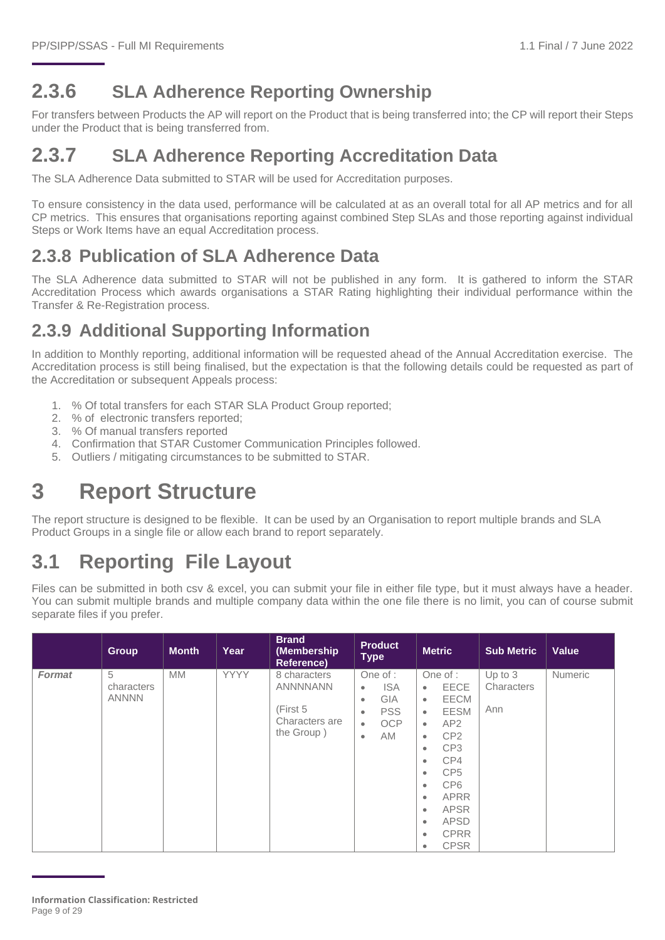## **2.3.6 SLA Adherence Reporting Ownership**

For transfers between Products the AP will report on the Product that is being transferred into; the CP will report their Steps under the Product that is being transferred from.

### **2.3.7 SLA Adherence Reporting Accreditation Data**

The SLA Adherence Data submitted to STAR will be used for Accreditation purposes.

To ensure consistency in the data used, performance will be calculated at as an overall total for all AP metrics and for all CP metrics. This ensures that organisations reporting against combined Step SLAs and those reporting against individual Steps or Work Items have an equal Accreditation process.

### **2.3.8 Publication of SLA Adherence Data**

The SLA Adherence data submitted to STAR will not be published in any form. It is gathered to inform the STAR Accreditation Process which awards organisations a STAR Rating highlighting their individual performance within the Transfer & Re-Registration process.

## **2.3.9 Additional Supporting Information**

In addition to Monthly reporting, additional information will be requested ahead of the Annual Accreditation exercise. The Accreditation process is still being finalised, but the expectation is that the following details could be requested as part of the Accreditation or subsequent Appeals process:

- 1. % Of total transfers for each STAR SLA Product Group reported;
- 2. % of electronic transfers reported;
- 3. % Of manual transfers reported
- 4. Confirmation that STAR Customer Communication Principles followed.
- 5. Outliers / mitigating circumstances to be submitted to STAR.

## <span id="page-8-0"></span>**3 Report Structure**

The report structure is designed to be flexible. It can be used by an Organisation to report multiple brands and SLA Product Groups in a single file or allow each brand to report separately.

## <span id="page-8-1"></span>**3.1 Reporting File Layout**

Files can be submitted in both csv & excel, you can submit your file in either file type, but it must always have a header. You can submit multiple brands and multiple company data within the one file there is no limit, you can of course submit separate files if you prefer.

|               | <b>Group</b>                    | <b>Month</b> | Year | <b>Brand</b><br>(Membership<br><b>Reference)</b>                            | <b>Product</b><br><b>Type</b>                                                                                                            | <b>Metric</b>                                                                                                                                                                                                                                                                                                                                                                                                  | <b>Sub Metric</b>              | Value          |
|---------------|---------------------------------|--------------|------|-----------------------------------------------------------------------------|------------------------------------------------------------------------------------------------------------------------------------------|----------------------------------------------------------------------------------------------------------------------------------------------------------------------------------------------------------------------------------------------------------------------------------------------------------------------------------------------------------------------------------------------------------------|--------------------------------|----------------|
| <b>Format</b> | 5<br>characters<br><b>ANNNN</b> | <b>MM</b>    | YYYY | 8 characters<br><b>ANNNNANN</b><br>(First 5<br>Characters are<br>the Group) | One of :<br><b>ISA</b><br>$\bullet$<br><b>GIA</b><br>$\bullet$<br><b>PSS</b><br>$\bullet$<br><b>OCP</b><br>$\bullet$<br>AM.<br>$\bullet$ | One of :<br>EECE<br>$\bullet$<br><b>EECM</b><br>$\bullet$<br><b>EESM</b><br>$\bullet$<br>AP <sub>2</sub><br>$\bullet$<br>CP <sub>2</sub><br>$\bullet$<br>CP <sub>3</sub><br>$\bullet$<br>CP4<br>$\bullet$<br>CP <sub>5</sub><br>$\bullet$<br>CP <sub>6</sub><br>$\bullet$<br><b>APRR</b><br>$\bullet$<br><b>APSR</b><br>$\bullet$<br>APSD<br>$\bullet$<br><b>CPRR</b><br>$\bullet$<br><b>CPSR</b><br>$\bullet$ | Up to $3$<br>Characters<br>Ann | <b>Numeric</b> |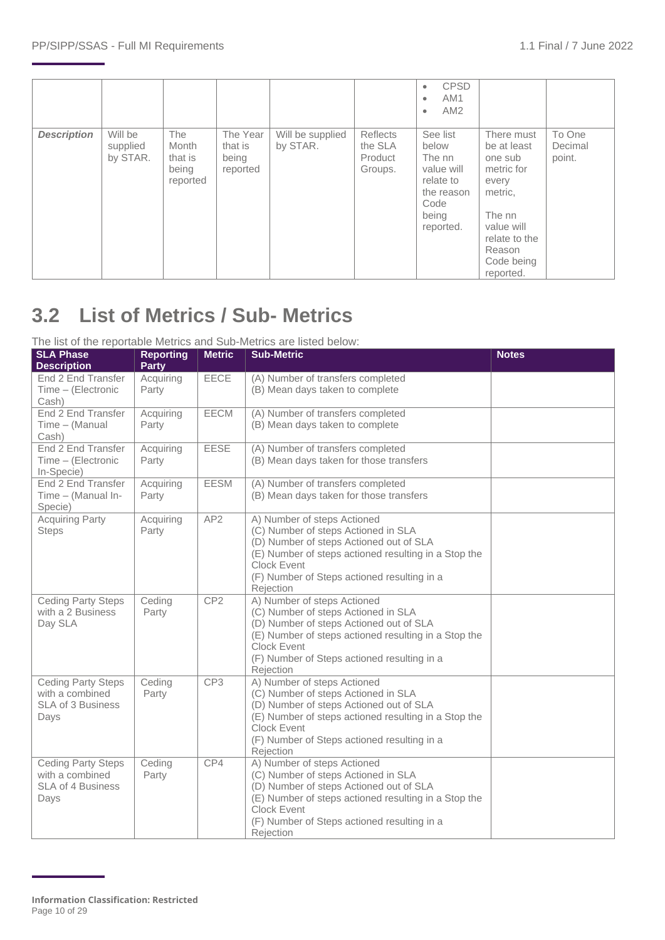|                    |                                 |                                                     |                                          |                              |                                           | <b>CPSD</b><br>$\bullet$<br>AM <sub>1</sub><br>$\bullet$<br>AM <sub>2</sub><br>$\bullet$           |                                                                                                                                                      |                             |
|--------------------|---------------------------------|-----------------------------------------------------|------------------------------------------|------------------------------|-------------------------------------------|----------------------------------------------------------------------------------------------------|------------------------------------------------------------------------------------------------------------------------------------------------------|-----------------------------|
| <b>Description</b> | Will be<br>supplied<br>by STAR. | <b>The</b><br>Month<br>that is<br>being<br>reported | The Year<br>that is<br>being<br>reported | Will be supplied<br>by STAR. | Reflects<br>the SLA<br>Product<br>Groups. | See list<br>below<br>The nn<br>value will<br>relate to<br>the reason<br>Code<br>being<br>reported. | There must<br>be at least<br>one sub<br>metric for<br>every<br>metric,<br>The nn<br>value will<br>relate to the<br>Reason<br>Code being<br>reported. | To One<br>Decimal<br>point. |

## <span id="page-9-0"></span>**3.2 List of Metrics / Sub- Metrics**

#### The list of the reportable Metrics and Sub-Metrics are listed below:

| <b>SLA Phase</b><br><b>Description</b>                                           | <b>Reporting</b><br><b>Party</b> | <b>Metric</b>   | <b>Sub-Metric</b>                                                                                                                                                                                                                                       | <b>Notes</b> |
|----------------------------------------------------------------------------------|----------------------------------|-----------------|---------------------------------------------------------------------------------------------------------------------------------------------------------------------------------------------------------------------------------------------------------|--------------|
| End 2 End Transfer<br>Time - (Electronic<br>Cash)                                | Acquiring<br>Party               | <b>EECE</b>     | (A) Number of transfers completed<br>(B) Mean days taken to complete                                                                                                                                                                                    |              |
| End 2 End Transfer<br>Time - (Manual<br>Cash)                                    | Acquiring<br>Party               | <b>EECM</b>     | (A) Number of transfers completed<br>(B) Mean days taken to complete                                                                                                                                                                                    |              |
| End 2 End Transfer<br>Time - (Electronic<br>In-Specie)                           | Acquiring<br>Party               | EESE            | (A) Number of transfers completed<br>(B) Mean days taken for those transfers                                                                                                                                                                            |              |
| End 2 End Transfer<br>Time - (Manual In-<br>Specie)                              | Acquiring<br>Party               | <b>EESM</b>     | (A) Number of transfers completed<br>(B) Mean days taken for those transfers                                                                                                                                                                            |              |
| <b>Acquiring Party</b><br><b>Steps</b>                                           | Acquiring<br>Party               | AP <sub>2</sub> | A) Number of steps Actioned<br>(C) Number of steps Actioned in SLA<br>(D) Number of steps Actioned out of SLA<br>(E) Number of steps actioned resulting in a Stop the<br><b>Clock Event</b><br>(F) Number of Steps actioned resulting in a<br>Rejection |              |
| <b>Ceding Party Steps</b><br>with a 2 Business<br>Day SLA                        | Ceding<br>Party                  | CP <sub>2</sub> | A) Number of steps Actioned<br>(C) Number of steps Actioned in SLA<br>(D) Number of steps Actioned out of SLA<br>(E) Number of steps actioned resulting in a Stop the<br>Clock Event<br>(F) Number of Steps actioned resulting in a<br>Rejection        |              |
| <b>Ceding Party Steps</b><br>with a combined<br><b>SLA of 3 Business</b><br>Days | Ceding<br>Party                  | CP3             | A) Number of steps Actioned<br>(C) Number of steps Actioned in SLA<br>(D) Number of steps Actioned out of SLA<br>(E) Number of steps actioned resulting in a Stop the<br><b>Clock Event</b><br>(F) Number of Steps actioned resulting in a<br>Rejection |              |
| <b>Ceding Party Steps</b><br>with a combined<br>SLA of 4 Business<br>Days        | Ceding<br>Party                  | CP4             | A) Number of steps Actioned<br>(C) Number of steps Actioned in SLA<br>(D) Number of steps Actioned out of SLA<br>(E) Number of steps actioned resulting in a Stop the<br>Clock Event<br>(F) Number of Steps actioned resulting in a<br>Rejection        |              |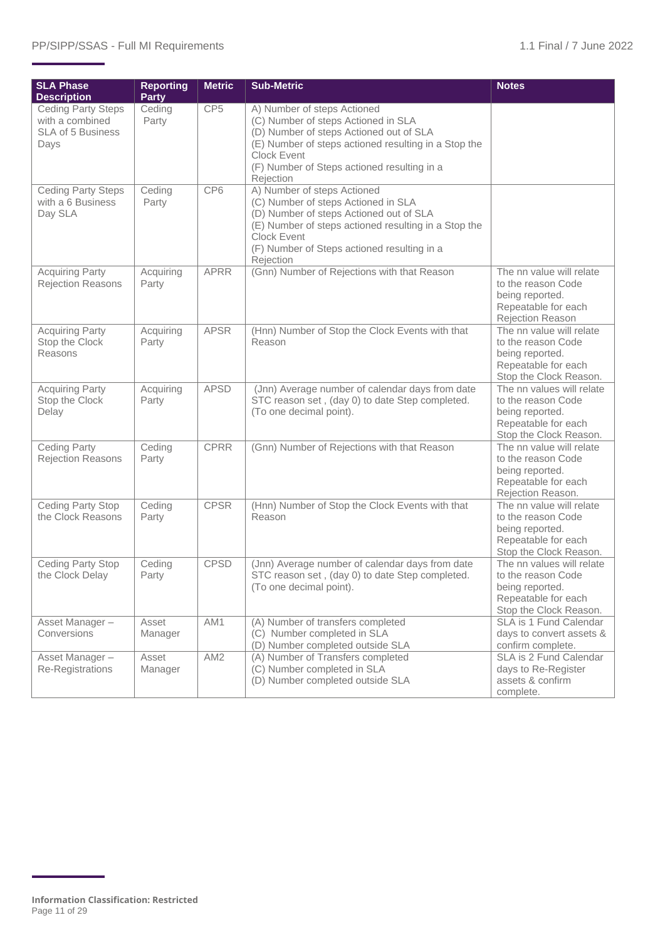| <b>SLA Phase</b><br><b>Description</b>                                           | <b>Reporting</b><br><b>Party</b> | <b>Metric</b>   | <b>Sub-Metric</b>                                                                                                                                                                                                                                       | <b>Notes</b>                                                                                                        |
|----------------------------------------------------------------------------------|----------------------------------|-----------------|---------------------------------------------------------------------------------------------------------------------------------------------------------------------------------------------------------------------------------------------------------|---------------------------------------------------------------------------------------------------------------------|
| <b>Ceding Party Steps</b><br>with a combined<br><b>SLA of 5 Business</b><br>Days | Ceding<br>Party                  | CP <sub>5</sub> | A) Number of steps Actioned<br>(C) Number of steps Actioned in SLA<br>(D) Number of steps Actioned out of SLA<br>(E) Number of steps actioned resulting in a Stop the<br><b>Clock Event</b><br>(F) Number of Steps actioned resulting in a<br>Rejection |                                                                                                                     |
| <b>Ceding Party Steps</b><br>with a 6 Business<br>Day SLA                        | Ceding<br>Party                  | CP6             | A) Number of steps Actioned<br>(C) Number of steps Actioned in SLA<br>(D) Number of steps Actioned out of SLA<br>(E) Number of steps actioned resulting in a Stop the<br><b>Clock Event</b><br>(F) Number of Steps actioned resulting in a<br>Rejection |                                                                                                                     |
| <b>Acquiring Party</b><br>Rejection Reasons                                      | Acquiring<br>Party               | <b>APRR</b>     | (Gnn) Number of Rejections with that Reason                                                                                                                                                                                                             | The nn value will relate<br>to the reason Code<br>being reported.<br>Repeatable for each<br>Rejection Reason        |
| <b>Acquiring Party</b><br>Stop the Clock<br>Reasons                              | Acquiring<br>Party               | <b>APSR</b>     | (Hnn) Number of Stop the Clock Events with that<br>Reason                                                                                                                                                                                               | The nn value will relate<br>to the reason Code<br>being reported.<br>Repeatable for each<br>Stop the Clock Reason.  |
| <b>Acquiring Party</b><br>Stop the Clock<br>Delay                                | Acquiring<br>Party               | <b>APSD</b>     | (Jnn) Average number of calendar days from date<br>STC reason set, (day 0) to date Step completed.<br>(To one decimal point).                                                                                                                           | The nn values will relate<br>to the reason Code<br>being reported.<br>Repeatable for each<br>Stop the Clock Reason. |
| <b>Ceding Party</b><br><b>Rejection Reasons</b>                                  | Ceding<br>Party                  | <b>CPRR</b>     | (Gnn) Number of Rejections with that Reason                                                                                                                                                                                                             | The nn value will relate<br>to the reason Code<br>being reported.<br>Repeatable for each<br>Rejection Reason.       |
| Ceding Party Stop<br>the Clock Reasons                                           | Ceding<br>Party                  | <b>CPSR</b>     | (Hnn) Number of Stop the Clock Events with that<br>Reason                                                                                                                                                                                               | The nn value will relate<br>to the reason Code<br>being reported.<br>Repeatable for each<br>Stop the Clock Reason.  |
| <b>Ceding Party Stop</b><br>the Clock Delay                                      | Ceding<br>Party                  | <b>CPSD</b>     | (Jnn) Average number of calendar days from date<br>STC reason set, (day 0) to date Step completed.<br>(To one decimal point).                                                                                                                           | The nn values will relate<br>to the reason Code<br>being reported.<br>Repeatable for each<br>Stop the Clock Reason. |
| Asset Manager-<br>Conversions                                                    | Asset<br>Manager                 | AM1             | (A) Number of transfers completed<br>(C) Number completed in SLA<br>(D) Number completed outside SLA                                                                                                                                                    | SLA is 1 Fund Calendar<br>days to convert assets &<br>confirm complete.                                             |
| Asset Manager-<br>Re-Registrations                                               | Asset<br>Manager                 | AM <sub>2</sub> | (A) Number of Transfers completed<br>(C) Number completed in SLA<br>(D) Number completed outside SLA                                                                                                                                                    | SLA is 2 Fund Calendar<br>days to Re-Register<br>assets & confirm<br>complete.                                      |

**Information Classification: Restricted** Page 11 of 29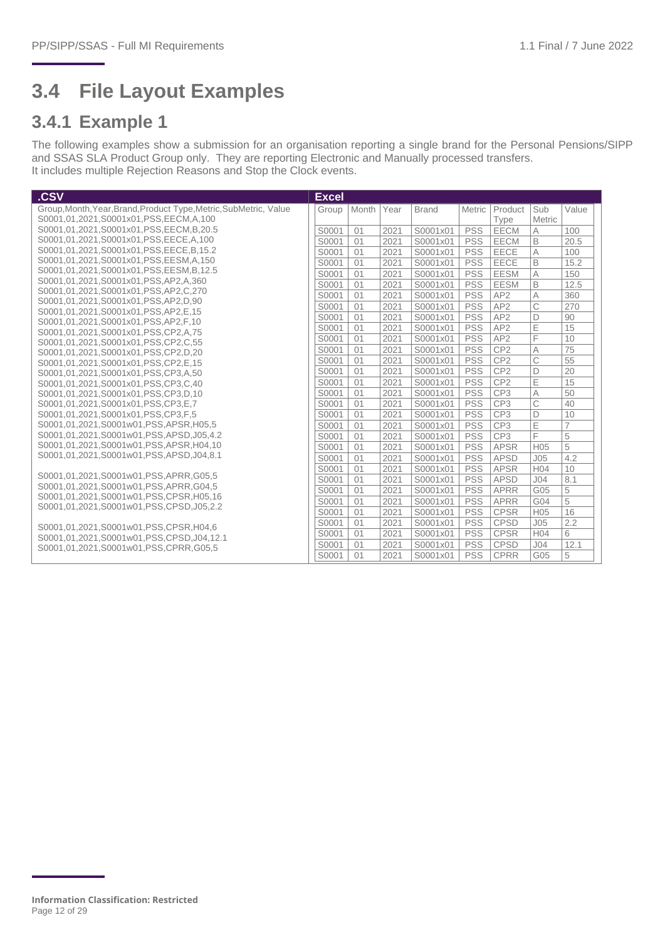## <span id="page-11-0"></span>**3.4 File Layout Examples**

#### **3.4.1 Example 1**

The following examples show a submission for an organisation reporting a single brand for the Personal Pensions/SIPP and SSAS SLA Product Group only. They are reporting Electronic and Manually processed transfers. It includes multiple Rejection Reasons and Stop the Clock events.

| .CSV                                                                       | <b>Excel</b> |       |      |              |            |                 |                 |                 |
|----------------------------------------------------------------------------|--------------|-------|------|--------------|------------|-----------------|-----------------|-----------------|
| Group, Month, Year, Brand, Product Type, Metric, SubMetric, Value          | Group        | Month | Year | <b>Brand</b> | Metric     | Product         | Sub             | Value           |
| S0001,01,2021,S0001x01,PSS,EECM,A,100                                      |              |       |      |              |            | Type            | Metric          |                 |
| S0001,01,2021,S0001x01,PSS,EECM,B,20.5                                     | S0001        | 01    | 2021 | S0001x01     | <b>PSS</b> | <b>EECM</b>     | А               | 100             |
| S0001,01,2021,S0001x01,PSS,EECE,A,100                                      | S0001        | 01    | 2021 | S0001x01     | <b>PSS</b> | EECM            | B               | 20.5            |
| S0001,01,2021,S0001x01,PSS,EECE,B,15.2                                     | S0001        | 01    | 2021 | S0001x01     | <b>PSS</b> | EECE            | A               | 100             |
| S0001,01,2021,S0001x01,PSS,EESM,A,150                                      | S0001        | 01    | 2021 | S0001x01     | <b>PSS</b> | EECE            | B               | 15.2            |
| S0001,01,2021,S0001x01,PSS,EESM,B,12.5                                     | S0001        | 01    | 2021 | S0001x01     | <b>PSS</b> | <b>EESM</b>     | $\overline{A}$  | 150             |
| S0001,01,2021,S0001x01,PSS,AP2,A,360                                       | S0001        | 01    | 2021 | S0001x01     | <b>PSS</b> | <b>EESM</b>     | B               | 12.5            |
| S0001,01,2021,S0001x01,PSS,AP2,C,270                                       | S0001        | 01    | 2021 | S0001x01     | <b>PSS</b> | AP <sub>2</sub> | A               | 360             |
| S0001,01,2021,S0001x01,PSS,AP2,D,90                                        | S0001        | 01    | 2021 | S0001x01     | <b>PSS</b> | AP <sub>2</sub> | C               | 270             |
| S0001,01,2021,S0001x01,PSS,AP2,E,15<br>S0001.01.2021.S0001x01.PSS.AP2.F.10 | S0001        | 01    | 2021 | S0001x01     | <b>PSS</b> | AP <sub>2</sub> | D               | 90              |
| S0001,01,2021,S0001x01,PSS,CP2,A,75                                        | S0001        | 01    | 2021 | S0001x01     | <b>PSS</b> | AP <sub>2</sub> | E               | 15              |
| S0001.01.2021.S0001x01.PSS.CP2.C.55                                        | S0001        | 01    | 2021 | S0001x01     | <b>PSS</b> | AP <sub>2</sub> | F               | 10              |
| S0001,01,2021,S0001x01,PSS,CP2,D,20                                        | S0001        | 01    | 2021 | S0001x01     | <b>PSS</b> | CP <sub>2</sub> | $\overline{A}$  | $\overline{75}$ |
| S0001,01,2021,S0001x01,PSS,CP2,E,15                                        | S0001        | 01    | 2021 | S0001x01     | <b>PSS</b> | CP <sub>2</sub> | C               | 55              |
| S0001,01,2021,S0001x01,PSS,CP3,A,50                                        | S0001        | 01    | 2021 | S0001x01     | <b>PSS</b> | CP <sub>2</sub> | D               | 20              |
| S0001,01,2021,S0001x01,PSS,CP3,C,40                                        | S0001        | 01    | 2021 | S0001x01     | <b>PSS</b> | CP <sub>2</sub> | E               | 15              |
| S0001,01,2021,S0001x01,PSS,CP3,D,10                                        | S0001        | 01    | 2021 | S0001x01     | <b>PSS</b> | CP <sub>3</sub> | A               | 50              |
| S0001,01,2021,S0001x01,PSS,CP3,E,7                                         | S0001        | 01    | 2021 | S0001x01     | <b>PSS</b> | CP <sub>3</sub> | C               | 40              |
| S0001,01,2021,S0001x01,PSS,CP3,F,5                                         | S0001        | 01    | 2021 | S0001x01     | <b>PSS</b> | CP <sub>3</sub> | D               | 10              |
| S0001,01,2021,S0001w01,PSS,APSR,H05,5                                      | S0001        | 01    | 2021 | S0001x01     | <b>PSS</b> | CP <sub>3</sub> | E               | $\overline{7}$  |
| S0001.01.2021.S0001w01.PSS.APSD.J05.4.2                                    | S0001        | 01    | 2021 | S0001x01     | <b>PSS</b> | CP <sub>3</sub> | F               | 5               |
| S0001.01.2021.S0001w01.PSS.APSR.H04.10                                     | S0001        | 01    | 2021 | S0001x01     | <b>PSS</b> | <b>APSR</b>     | H <sub>05</sub> | 5               |
| S0001.01.2021.S0001w01.PSS.APSD.J04.8.1                                    | S0001        | 01    | 2021 | S0001x01     | <b>PSS</b> | <b>APSD</b>     | J <sub>05</sub> | 4.2             |
|                                                                            | S0001        | 01    | 2021 | S0001x01     | <b>PSS</b> | <b>APSR</b>     | H <sub>04</sub> | 10              |
| S0001.01.2021.S0001w01.PSS.APRR.G05.5                                      | S0001        | 01    | 2021 | S0001x01     | <b>PSS</b> | <b>APSD</b>     | J <sub>04</sub> | 8.1             |
| S0001,01,2021,S0001w01,PSS,APRR,G04,5                                      | S0001        | 01    | 2021 | S0001x01     | <b>PSS</b> | <b>APRR</b>     | G05             | 5               |
| S0001,01,2021,S0001w01,PSS,CPSR,H05,16                                     | S0001        | 01    | 2021 | S0001x01     | <b>PSS</b> | <b>APRR</b>     | G04             | 5               |
| S0001,01,2021,S0001w01,PSS,CPSD,J05,2.2                                    | S0001        | 01    | 2021 | S0001x01     | <b>PSS</b> | <b>CPSR</b>     | H <sub>05</sub> | 16              |
| S0001.01.2021.S0001w01.PSS.CPSR.H04.6                                      | S0001        | 01    | 2021 | S0001x01     | <b>PSS</b> | <b>CPSD</b>     | J <sub>05</sub> | 2.2             |
| S0001.01.2021.S0001w01.PSS.CPSD.J04.12.1                                   | S0001        | 01    | 2021 | S0001x01     | <b>PSS</b> | <b>CPSR</b>     | H <sub>04</sub> | 6               |
| S0001.01.2021.S0001w01.PSS.CPRR.G05.5                                      | S0001        | 01    | 2021 | S0001x01     | <b>PSS</b> | <b>CPSD</b>     | J <sub>04</sub> | 12.1            |
|                                                                            | S0001        | 01    | 2021 | S0001x01     | <b>PSS</b> | <b>CPRR</b>     | G05             | 5               |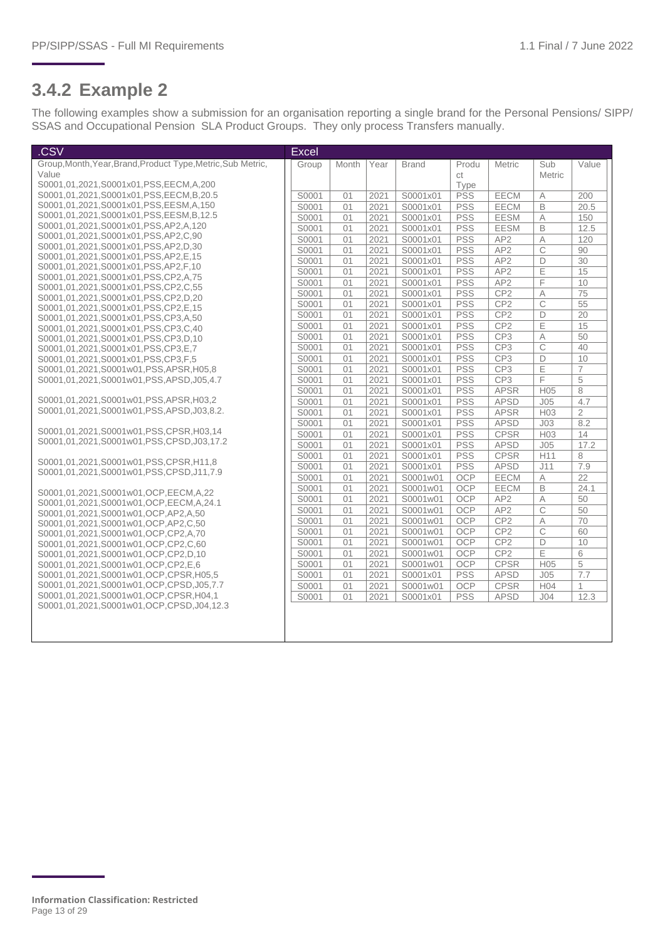#### **3.4.2 Example 2**

The following examples show a submission for an organisation reporting a single brand for the Personal Pensions/ SIPP/ SSAS and Occupational Pension SLA Product Groups. They only process Transfers manually.

| .CSV                                                                       | <b>Excel</b> |       |      |              |            |                 |                 |                |
|----------------------------------------------------------------------------|--------------|-------|------|--------------|------------|-----------------|-----------------|----------------|
| Group, Month, Year, Brand, Product Type, Metric, Sub Metric,               | Group        | Month | Year | <b>Brand</b> | Produ      | <b>Metric</b>   | Sub             | Value          |
| Value                                                                      |              |       |      |              | ct         |                 | Metric          |                |
| S0001,01,2021,S0001x01,PSS,EECM,A,200                                      |              |       |      |              | Type       |                 |                 |                |
| S0001,01,2021,S0001x01,PSS,EECM,B,20.5                                     | S0001        | 01    | 2021 | S0001x01     | <b>PSS</b> | EECM            | Α               | 200            |
| S0001,01,2021,S0001x01,PSS,EESM,A,150                                      | S0001        | 01    | 2021 | S0001x01     | <b>PSS</b> | EECM            | B               | 20.5           |
| S0001,01,2021,S0001x01,PSS,EESM,B,12.5                                     | S0001        | 01    | 2021 | S0001x01     | <b>PSS</b> | <b>EESM</b>     | A               | 150            |
| S0001,01,2021,S0001x01,PSS,AP2,A,120                                       | S0001        | 01    | 2021 | S0001x01     | <b>PSS</b> | <b>EESM</b>     | B               | 12.5           |
| S0001,01,2021,S0001x01,PSS,AP2,C,90                                        | S0001        | 01    | 2021 | S0001x01     | <b>PSS</b> | AP <sub>2</sub> | A               | 120            |
| S0001,01,2021,S0001x01,PSS,AP2,D,30                                        | S0001        | 01    | 2021 | S0001x01     | <b>PSS</b> | AP2             | $\overline{C}$  | 90             |
| S0001,01,2021,S0001x01,PSS,AP2,E,15                                        | S0001        | 01    | 2021 | S0001x01     | <b>PSS</b> | AP2             | D               | 30             |
| S0001,01,2021,S0001x01,PSS,AP2,F,10                                        | S0001        | 01    | 2021 | S0001x01     | PSS        | AP <sub>2</sub> | Ε               | 15             |
| S0001,01,2021,S0001x01,PSS,CP2,A,75                                        | S0001        | 01    | 2021 | S0001x01     | <b>PSS</b> | AP <sub>2</sub> | F               | 10             |
| S0001,01,2021,S0001x01,PSS,CP2,C,55                                        | S0001        | 01    | 2021 | S0001x01     | <b>PSS</b> | CP <sub>2</sub> | А               | 75             |
| S0001,01,2021,S0001x01,PSS,CP2,D,20                                        | S0001        | 01    | 2021 | S0001x01     | <b>PSS</b> | CP <sub>2</sub> | C               | 55             |
| S0001,01,2021,S0001x01,PSS,CP2,E,15                                        | S0001        | 01    | 2021 | S0001x01     | <b>PSS</b> | CP <sub>2</sub> | D               | 20             |
| S0001,01,2021,S0001x01,PSS,CP3,A,50                                        | S0001        | 01    | 2021 | S0001x01     | <b>PSS</b> | CP <sub>2</sub> | E               | 15             |
| S0001,01,2021,S0001x01,PSS,CP3,C,40<br>S0001.01.2021.S0001x01.PSS.CP3.D.10 | S0001        | 01    | 2021 | S0001x01     | <b>PSS</b> | CP3             | А               | 50             |
| S0001,01,2021,S0001x01,PSS,CP3,E,7                                         | S0001        | 01    | 2021 | S0001x01     | <b>PSS</b> | CP <sub>3</sub> | C               | 40             |
| S0001,01,2021,S0001x01,PSS,CP3,F,5                                         | S0001        | 01    | 2021 | S0001x01     | <b>PSS</b> | CP <sub>3</sub> | D               | 10             |
| S0001,01,2021,S0001w01,PSS,APSR,H05,8                                      | S0001        | 01    | 2021 | S0001x01     | PSS        | CP <sub>3</sub> | E               | $\overline{7}$ |
| S0001,01,2021,S0001w01,PSS,APSD,J05,4.7                                    | S0001        | 01    | 2021 | S0001x01     | <b>PSS</b> | CP <sub>3</sub> | F               | 5              |
|                                                                            | S0001        | 01    | 2021 | S0001x01     | <b>PSS</b> | <b>APSR</b>     | H <sub>05</sub> | 8              |
| S0001,01,2021,S0001w01,PSS,APSR,H03,2                                      | S0001        | 01    | 2021 | S0001x01     | <b>PSS</b> | <b>APSD</b>     | J05             | 4.7            |
| S0001,01,2021,S0001w01,PSS,APSD,J03,8.2.                                   | S0001        | 01    | 2021 | S0001x01     | <b>PSS</b> | <b>APSR</b>     | H <sub>03</sub> | $\overline{2}$ |
|                                                                            | S0001        | 01    | 2021 | S0001x01     | <b>PSS</b> | <b>APSD</b>     | J <sub>03</sub> | 8.2            |
| S0001.01.2021.S0001w01.PSS.CPSR.H03.14                                     | S0001        | 01    | 2021 | S0001x01     | <b>PSS</b> | <b>CPSR</b>     | H <sub>03</sub> | 14             |
| S0001.01.2021.S0001w01.PSS.CPSD.J03.17.2                                   | S0001        | 01    | 2021 | S0001x01     | <b>PSS</b> | <b>APSD</b>     | J <sub>05</sub> | 17.2           |
|                                                                            |              | 01    |      |              | <b>PSS</b> | <b>CPSR</b>     |                 | 8              |
| S0001,01,2021,S0001w01,PSS,CPSR,H11,8                                      | S0001        |       | 2021 | S0001x01     |            |                 | H11             |                |
| S0001.01.2021.S0001w01.PSS.CPSD.J11.7.9                                    | S0001        | 01    | 2021 | S0001x01     | <b>PSS</b> | <b>APSD</b>     | J11             | 7.9<br>22      |
|                                                                            | S0001        | 01    | 2021 | S0001w01     | <b>OCP</b> | EECM            | Α               |                |
| S0001,01,2021,S0001w01,OCP,EECM,A,22                                       | S0001        | 01    | 2021 | S0001w01     | <b>OCP</b> | EECM            | B               | 24.1           |
| S0001.01.2021.S0001w01.OCP.EECM.A.24.1                                     | S0001        | 01    | 2021 | S0001w01     | OCP        | AP <sub>2</sub> | A               | 50             |
| S0001,01,2021,S0001w01,OCP,AP2,A,50                                        | S0001        | 01    | 2021 | S0001w01     | <b>OCP</b> | AP <sub>2</sub> | $\overline{C}$  | 50             |
| S0001,01,2021,S0001w01,OCP,AP2,C,50                                        | S0001        | 01    | 2021 | S0001w01     | OCP        | CP <sub>2</sub> | А               | 70             |
| S0001,01,2021,S0001w01,OCP,CP2,A,70                                        | S0001        | 01    | 2021 | S0001w01     | <b>OCP</b> | CP <sub>2</sub> | C               | 60             |
| S0001,01,2021,S0001w01,OCP,CP2,C,60                                        | S0001        | 01    | 2021 | S0001w01     | OCP        | CP <sub>2</sub> | D               | 10             |
| S0001,01,2021,S0001w01,OCP,CP2,D,10                                        | S0001        | 01    | 2021 | S0001w01     | <b>OCP</b> | CP <sub>2</sub> | E               | 6              |
| S0001,01,2021,S0001w01,OCP,CP2,E,6                                         | S0001        | 01    | 2021 | S0001w01     | <b>OCP</b> | <b>CPSR</b>     | H <sub>05</sub> | 5              |
| S0001,01,2021,S0001w01,OCP,CPSR,H05,5                                      | S0001        | 01    | 2021 | S0001x01     | <b>PSS</b> | <b>APSD</b>     | J <sub>05</sub> | 7.7            |
| S0001,01,2021,S0001w01,OCP,CPSD,J05,7.7                                    | S0001        | 01    | 2021 | S0001w01     | OCP        | <b>CPSR</b>     | H <sub>04</sub> | 1              |
| S0001.01.2021.S0001w01.OCP.CPSR.H04.1                                      | S0001        | 01    | 2021 | S0001x01     | <b>PSS</b> | <b>APSD</b>     | J <sub>04</sub> | 12.3           |
| S0001.01.2021.S0001w01.OCP.CPSD.J04.12.3                                   |              |       |      |              |            |                 |                 |                |
|                                                                            |              |       |      |              |            |                 |                 |                |
|                                                                            |              |       |      |              |            |                 |                 |                |
|                                                                            |              |       |      |              |            |                 |                 |                |

**Information Classification: Restricted** Page 13 of 29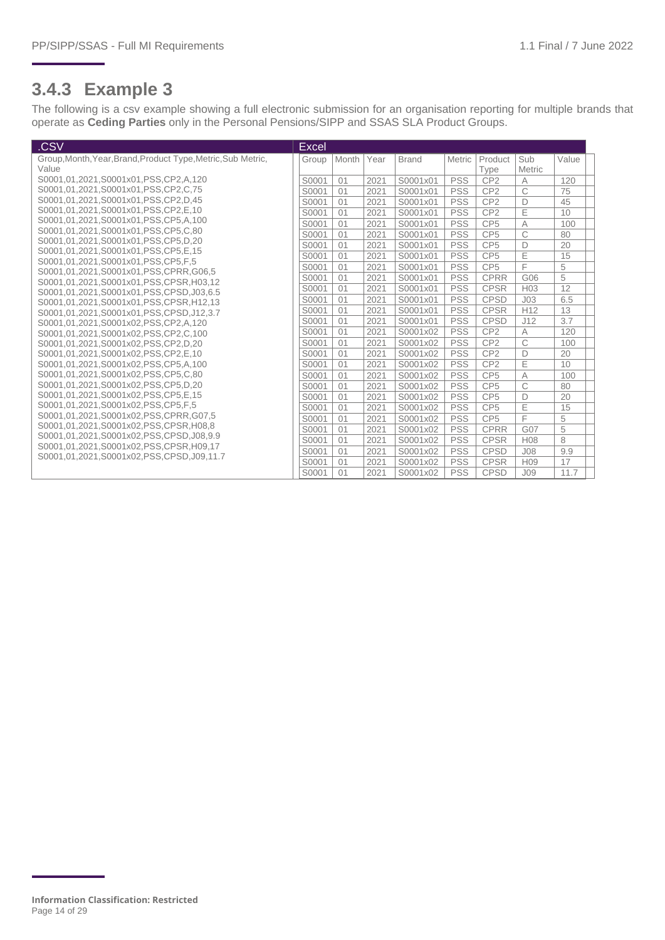#### **3.4.3 Example 3**

The following is a csv example showing a full electronic submission for an organisation reporting for multiple brands that operate as **Ceding Parties** only in the Personal Pensions/SIPP and SSAS SLA Product Groups.

| .CSV                                                                      | Excel |       |      |              |            |                 |                 |       |  |
|---------------------------------------------------------------------------|-------|-------|------|--------------|------------|-----------------|-----------------|-------|--|
| Group, Month, Year, Brand, Product Type, Metric, Sub Metric,              | Group | Month | Year | <b>Brand</b> | Metric     | Product         | Sub             | Value |  |
| Value                                                                     |       |       |      |              |            | Type            | Metric          |       |  |
| S0001.01.2021.S0001x01.PSS.CP2.A.120                                      | S0001 | 01    | 2021 | S0001x01     | <b>PSS</b> | CP <sub>2</sub> | A               | 120   |  |
| S0001.01.2021.S0001x01.PSS.CP2.C.75                                       | S0001 | 01    | 2021 | S0001x01     | <b>PSS</b> | CP <sub>2</sub> | C               | 75    |  |
| S0001,01,2021,S0001x01,PSS,CP2,D,45                                       | S0001 | 01    | 2021 | S0001x01     | <b>PSS</b> | CP <sub>2</sub> | D               | 45    |  |
| S0001,01,2021,S0001x01,PSS,CP2,E,10                                       | S0001 | 01    | 2021 | S0001x01     | <b>PSS</b> | CP <sub>2</sub> | E               | 10    |  |
| S0001,01,2021,S0001x01,PSS,CP5,A,100                                      | S0001 | 01    | 2021 | S0001x01     | <b>PSS</b> | CP <sub>5</sub> | A               | 100   |  |
| S0001,01,2021,S0001x01,PSS.CP5.C.80                                       | S0001 | 01    | 2021 | S0001x01     | <b>PSS</b> | CP <sub>5</sub> | C               | 80    |  |
| S0001,01,2021,S0001x01,PSS,CP5,D,20                                       | S0001 | 01    | 2021 | S0001x01     | <b>PSS</b> | CP <sub>5</sub> | D               | 20    |  |
| S0001,01,2021,S0001x01,PSS,CP5,E,15<br>S0001,01,2021,S0001x01,PSS,CP5,F,5 | S0001 | 01    | 2021 | S0001x01     | <b>PSS</b> | CP <sub>5</sub> | E               | 15    |  |
| S0001,01,2021,S0001x01,PSS,CPRR,G06,5                                     | S0001 | 01    | 2021 | S0001x01     | <b>PSS</b> | CP <sub>5</sub> | F               | 5     |  |
| S0001.01.2021.S0001x01.PSS.CPSR.H03.12                                    | S0001 | 01    | 2021 | S0001x01     | <b>PSS</b> | <b>CPRR</b>     | G06             | 5     |  |
| S0001.01.2021.S0001x01.PSS.CPSD.J03.6.5                                   | S0001 | 01    | 2021 | S0001x01     | <b>PSS</b> | <b>CPSR</b>     | H <sub>03</sub> | 12    |  |
| S0001.01.2021.S0001x01.PSS.CPSR.H12.13                                    | S0001 | 01    | 2021 | S0001x01     | <b>PSS</b> | <b>CPSD</b>     | J <sub>03</sub> | 6.5   |  |
| S0001,01,2021,S0001x01,PSS,CPSD,J12,3.7                                   | S0001 | 01    | 2021 | S0001x01     | <b>PSS</b> | <b>CPSR</b>     | H <sub>12</sub> | 13    |  |
| S0001,01,2021,S0001x02,PSS,CP2,A,120                                      | S0001 | 01    | 2021 | S0001x01     | <b>PSS</b> | <b>CPSD</b>     | J12             | 3.7   |  |
| S0001,01,2021,S0001x02,PSS,CP2,C,100                                      | S0001 | 01    | 2021 | S0001x02     | <b>PSS</b> | CP <sub>2</sub> | A               | 120   |  |
| S0001,01,2021,S0001x02,PSS,CP2,D,20                                       | S0001 | 01    | 2021 | S0001x02     | <b>PSS</b> | CP <sub>2</sub> | C               | 100   |  |
| S0001,01,2021,S0001x02,PSS,CP2,E,10                                       | S0001 | 01    | 2021 | S0001x02     | <b>PSS</b> | CP <sub>2</sub> | D               | 20    |  |
| S0001,01,2021,S0001x02,PSS,CP5,A,100                                      | S0001 | 01    | 2021 | S0001x02     | <b>PSS</b> | CP <sub>2</sub> | E               | 10    |  |
| S0001,01,2021,S0001x02,PSS,CP5,C,80                                       | S0001 | 01    | 2021 | S0001x02     | <b>PSS</b> | CP <sub>5</sub> | $\overline{A}$  | 100   |  |
| S0001,01,2021,S0001x02,PSS,CP5,D,20                                       | S0001 | 01    | 2021 | S0001x02     | <b>PSS</b> | CP <sub>5</sub> | C               | 80    |  |
| S0001.01.2021.S0001x02.PSS.CP5.E.15                                       | S0001 | 01    | 2021 | S0001x02     | <b>PSS</b> | CP <sub>5</sub> | D               | 20    |  |
| S0001,01,2021,S0001x02,PSS,CP5,F,5                                        | S0001 | 01    | 2021 | S0001x02     | <b>PSS</b> | CP <sub>5</sub> | E               | 15    |  |
| S0001.01.2021.S0001x02.PSS.CPRR.G07.5                                     | S0001 | 01    | 2021 | S0001x02     | <b>PSS</b> | CP <sub>5</sub> | F               | 5     |  |
| S0001,01,2021,S0001x02,PSS,CPSR,H08,8                                     | S0001 | 01    | 2021 | S0001x02     | <b>PSS</b> | <b>CPRR</b>     | G07             | 5     |  |
| S0001.01.2021.S0001x02.PSS.CPSD.J08.9.9                                   | S0001 | 01    | 2021 | S0001x02     | <b>PSS</b> | <b>CPSR</b>     | H <sub>08</sub> | 8     |  |
| S0001,01,2021,S0001x02,PSS,CPSR,H09,17                                    | S0001 | 01    | 2021 | S0001x02     | <b>PSS</b> | <b>CPSD</b>     | J <sub>08</sub> | 9.9   |  |
| S0001.01.2021.S0001x02.PSS.CPSD.J09.11.7                                  | S0001 | 01    | 2021 | S0001x02     | <b>PSS</b> | <b>CPSR</b>     | H <sub>09</sub> | 17    |  |
|                                                                           | S0001 | 01    | 2021 | S0001x02     | <b>PSS</b> | <b>CPSD</b>     | J <sub>09</sub> | 11.7  |  |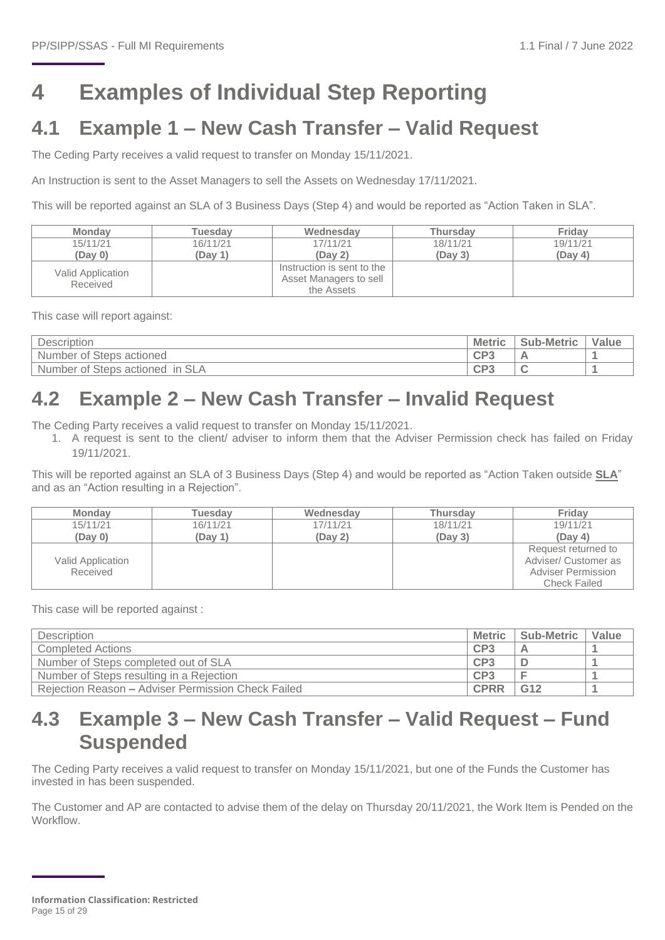## <span id="page-14-0"></span>**4 Examples of Individual Step Reporting**

### <span id="page-14-1"></span>**4.1 Example 1 – New Cash Transfer – Valid Request**

The Ceding Party receives a valid request to transfer on Monday 15/11/2021.

An Instruction is sent to the Asset Managers to sell the Assets on Wednesday 17/11/2021.

This will be reported against an SLA of 3 Business Days (Step 4) and would be reported as "Action Taken in SLA".

| <b>Monday</b>                 | Tuesdav             | Wednesdav                  | <b>Thursdav</b> | Friday   |
|-------------------------------|---------------------|----------------------------|-----------------|----------|
| 15/11/21                      | 16/11/21            | 17/11/21                   | 18/11/21        | 19/11/21 |
| (Dav 0)                       | (Dav <sub>1</sub> ) | (Dav <sub>2</sub> )        | (Day 3)         | (Day 4)  |
|                               |                     | Instruction is sent to the |                 |          |
| Valid Application<br>Received |                     | Asset Managers to sell     |                 |          |
|                               |                     | the Assets                 |                 |          |

This case will report against:

| $\sim$<br>Description                                 | <b>Metric</b>   | <b>Sub-Metric</b> | Value |
|-------------------------------------------------------|-----------------|-------------------|-------|
| actioned<br><b>Number</b><br><b>Steps</b><br>0Ť       | CP <sub>3</sub> |                   |       |
| SL/<br>In<br><b>Steps</b><br>actioned<br>Number<br>0Ť | CP <sub>3</sub> |                   |       |

## <span id="page-14-2"></span>**4.2 Example 2 – New Cash Transfer – Invalid Request**

The Ceding Party receives a valid request to transfer on Monday 15/11/2021.

1. A request is sent to the client/ adviser to inform them that the Adviser Permission check has failed on Friday 19/11/2021.

This will be reported against an SLA of 3 Business Days (Step 4) and would be reported as "Action Taken outside **SLA**" and as an "Action resulting in a Rejection".

| <b>Monday</b>                 | Tuesdav  | Wednesday | <b>Thursday</b> | Friday                                                                                   |
|-------------------------------|----------|-----------|-----------------|------------------------------------------------------------------------------------------|
| 15/11/21                      | 16/11/21 | 17/11/21  | 18/11/21        | 19/11/21                                                                                 |
| (Day 0)                       | (Day 1)  | (Day 2)   | (Day 3)         | (Day 4)                                                                                  |
| Valid Application<br>Received |          |           |                 | Request returned to<br>Adviser/ Customer as<br><b>Adviser Permission</b><br>Check Failed |

This case will be reported against :

| Description                                        | <b>Metric</b> | Sub-Metric | Value |
|----------------------------------------------------|---------------|------------|-------|
| Completed Actions                                  | CP3           |            |       |
| Number of Steps completed out of SLA               | CP3           |            |       |
| Number of Steps resulting in a Rejection           | CP3           |            |       |
| Rejection Reason - Adviser Permission Check Failed | <b>CPRR</b>   | G12        |       |

## <span id="page-14-3"></span>**4.3 Example 3 – New Cash Transfer – Valid Request – Fund Suspended**

The Ceding Party receives a valid request to transfer on Monday 15/11/2021, but one of the Funds the Customer has invested in has been suspended.

The Customer and AP are contacted to advise them of the delay on Thursday 20/11/2021, the Work Item is Pended on the Workflow.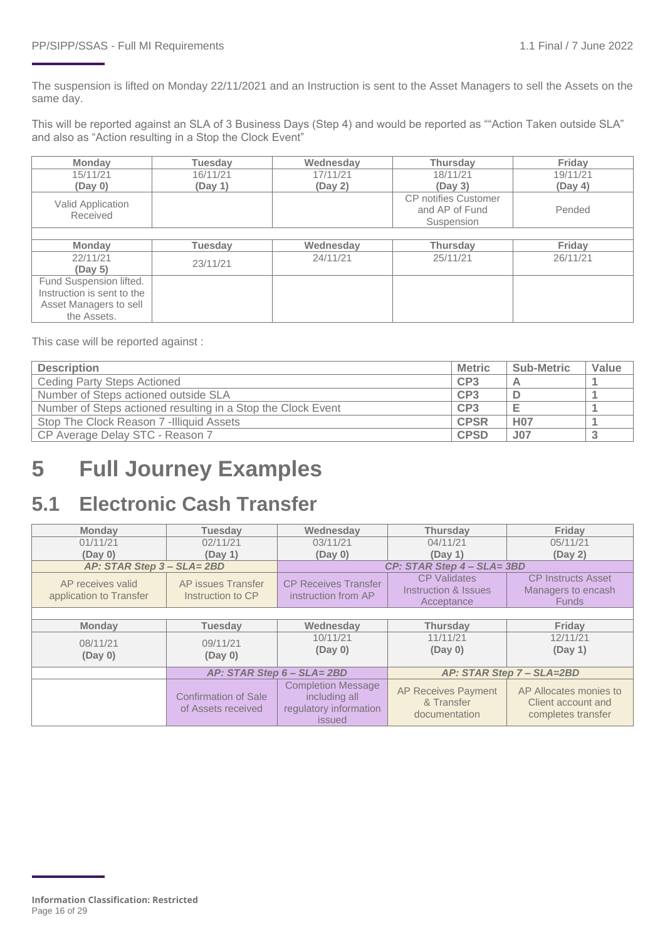The suspension is lifted on Monday 22/11/2021 and an Instruction is sent to the Asset Managers to sell the Assets on the same day.

This will be reported against an SLA of 3 Business Days (Step 4) and would be reported as ""Action Taken outside SLA" and also as "Action resulting in a Stop the Clock Event"

| <b>Monday</b>              | <b>Tuesday</b> | Wednesday | <b>Thursday</b>             | Friday   |
|----------------------------|----------------|-----------|-----------------------------|----------|
| 15/11/21                   | 16/11/21       | 17/11/21  | 18/11/21                    | 19/11/21 |
| (Day 0)                    | (Day 1)        |           | (Dav 3)                     | (Day 4)  |
| Valid Application          |                |           | <b>CP</b> notifies Customer |          |
| Received                   |                |           | and AP of Fund              | Pended   |
|                            |                |           | Suspension                  |          |
|                            |                |           |                             |          |
| <b>Monday</b>              | <b>Tuesday</b> | Wednesdav | <b>Thursday</b>             | Friday   |
| 22/11/21                   | 23/11/21       | 24/11/21  |                             | 26/11/21 |
| (Day 5)                    |                |           |                             |          |
| Fund Suspension lifted.    |                |           |                             |          |
| Instruction is sent to the |                |           |                             |          |
| Asset Managers to sell     |                |           |                             |          |
| the Assets.                |                |           |                             |          |

This case will be reported against :

| <b>Description</b>                                           | <b>Metric</b>   | <b>Sub-Metric</b> | Value |
|--------------------------------------------------------------|-----------------|-------------------|-------|
| <b>Ceding Party Steps Actioned</b>                           | CP <sub>3</sub> |                   |       |
| Number of Steps actioned outside SLA                         | CP <sub>3</sub> |                   |       |
| Number of Steps actioned resulting in a Stop the Clock Event | CP <sub>3</sub> |                   |       |
| Stop The Clock Reason 7 - Illiquid Assets                    | <b>CPSR</b>     | <b>H07</b>        |       |
| CP Average Delay STC - Reason 7                              | <b>CPSD</b>     | J <sub>07</sub>   |       |

## <span id="page-15-0"></span>**5 Full Journey Examples**

## <span id="page-15-1"></span>**5.1 Electronic Cash Transfer**

| <b>Monday</b>                                                                           | <b>Tuesday</b>      | Wednesday                                                                      | <b>Thursday</b>                                           | Friday                                                             |  |  |  |  |
|-----------------------------------------------------------------------------------------|---------------------|--------------------------------------------------------------------------------|-----------------------------------------------------------|--------------------------------------------------------------------|--|--|--|--|
| 01/11/21                                                                                | 02/11/21            | 03/11/21                                                                       | 04/11/21                                                  | 05/11/21                                                           |  |  |  |  |
| (Day 0)<br>(Day 1)                                                                      |                     | (Day 0)<br>(Day 1)                                                             |                                                           | (Day 2)                                                            |  |  |  |  |
| AP: STAR Step 3 - SLA= 2BD                                                              |                     |                                                                                | CP: STAR Step 4 - SLA= 3BD                                |                                                                    |  |  |  |  |
| AP receives valid<br>AP issues Transfer<br>application to Transfer<br>Instruction to CP |                     | <b>CP Receives Transfer</b><br>instruction from AP                             | <b>CP Validates</b><br>Instruction & Issues<br>Acceptance | <b>CP Instructs Asset</b><br>Managers to encash<br><b>Funds</b>    |  |  |  |  |
|                                                                                         |                     |                                                                                |                                                           |                                                                    |  |  |  |  |
| <b>Monday</b>                                                                           | <b>Tuesday</b>      | Wednesday                                                                      | <b>Thursday</b>                                           | Friday                                                             |  |  |  |  |
| 08/11/21<br>(Day 0)                                                                     | 09/11/21<br>(Day 0) | 10/11/21<br>(Day 0)                                                            | 11/11/21<br>(Day 0)                                       | 12/11/21<br>(Day 1)                                                |  |  |  |  |
|                                                                                         |                     | AP: STAR Step 6 - SLA= 2BD                                                     |                                                           | AP: STAR Step 7 - SLA=2BD                                          |  |  |  |  |
| <b>Confirmation of Sale</b><br>of Assets received                                       |                     | <b>Completion Message</b><br>including all<br>regulatory information<br>issued | <b>AP Receives Payment</b><br>& Transfer<br>documentation | AP Allocates monies to<br>Client account and<br>completes transfer |  |  |  |  |

**Information Classification: Restricted** Page 16 of 29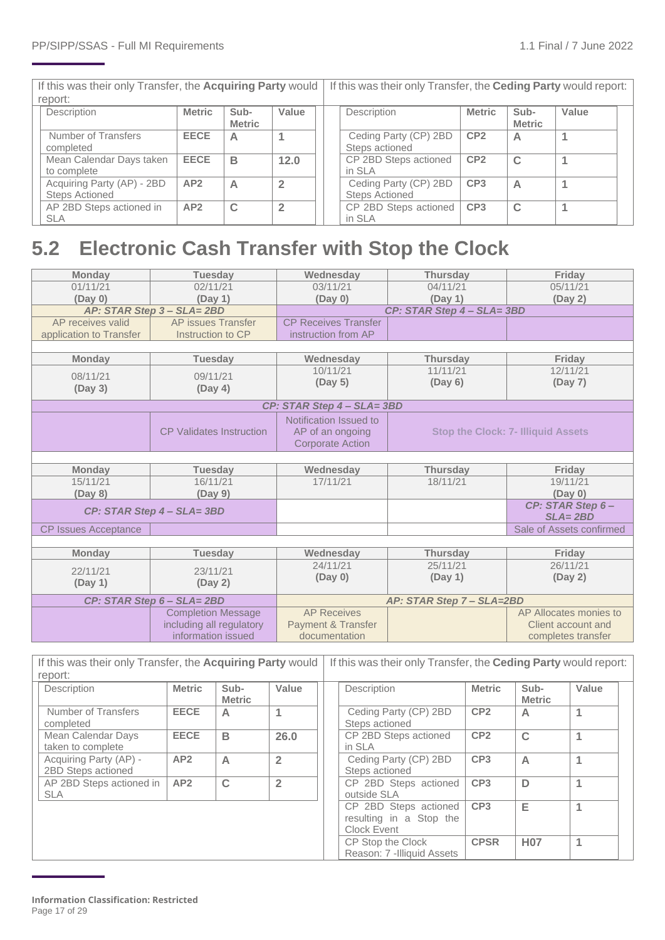| If this was their only Transfer, the Acquiring Party would |               |                       |                | If this was their only Transfer, the <b>Ceding Party</b> would report: |                 |                       |       |  |
|------------------------------------------------------------|---------------|-----------------------|----------------|------------------------------------------------------------------------|-----------------|-----------------------|-------|--|
| report:                                                    |               |                       |                |                                                                        |                 |                       |       |  |
| Description                                                | <b>Metric</b> | Sub-<br><b>Metric</b> | Value          | Description                                                            | <b>Metric</b>   | Sub-<br><b>Metric</b> | Value |  |
| Number of Transfers<br>completed                           | <b>EECE</b>   | А                     |                | Ceding Party (CP) 2BD<br>Steps actioned                                | CP <sub>2</sub> | A                     |       |  |
| Mean Calendar Days taken<br>to complete                    | <b>EECE</b>   | в                     | 12.0           | CP 2BD Steps actioned<br>in SLA                                        | CP <sub>2</sub> | $\mathsf{C}$          |       |  |
| Acquiring Party (AP) - 2BD<br><b>Steps Actioned</b>        | AP2           | А                     | $\overline{2}$ | Ceding Party (CP) 2BD<br><b>Steps Actioned</b>                         | CP <sub>3</sub> | A                     |       |  |
| AP 2BD Steps actioned in<br><b>SLA</b>                     | AP2           | C                     | $\overline{2}$ | CP 2BD Steps actioned<br>in SLA                                        | CP <sub>3</sub> | C                     |       |  |
|                                                            |               |                       |                |                                                                        |                 |                       |       |  |

## <span id="page-16-0"></span>**5.2 Electronic Cash Transfer with Stop the Clock**

| <b>Monday</b>               | <b>Tuesday</b>                  | Wednesday                     | <b>Thursday</b>           |                                           |  |  |  |
|-----------------------------|---------------------------------|-------------------------------|---------------------------|-------------------------------------------|--|--|--|
| 01/11/21                    | 02/11/21                        | 03/11/21                      | 04/11/21                  | 05/11/21                                  |  |  |  |
| (Day 0)                     | (Day 1)                         | (Day 0)                       | (Day 1)                   | (Day 2)                                   |  |  |  |
|                             | AP: STAR Step 3 - SLA= 2BD      |                               | CP: STAR Step 4 - SLA=3BD |                                           |  |  |  |
| AP receives valid           | AP issues Transfer              | <b>CP Receives Transfer</b>   |                           |                                           |  |  |  |
| application to Transfer     | Instruction to CP               |                               |                           |                                           |  |  |  |
|                             |                                 |                               |                           |                                           |  |  |  |
| <b>Monday</b>               | <b>Tuesday</b>                  | Wednesday                     | <b>Thursday</b>           | Friday                                    |  |  |  |
| 08/11/21                    | 09/11/21                        | 10/11/21                      | 11/11/21                  | 12/11/21                                  |  |  |  |
|                             |                                 | (Day 5)                       | (Day 6)                   | (Day 7)                                   |  |  |  |
| (Day 3)                     | (Day 4)                         |                               |                           |                                           |  |  |  |
|                             |                                 | CP: STAR Step 4 - SLA= 3BD    |                           |                                           |  |  |  |
|                             |                                 | Notification Issued to        |                           |                                           |  |  |  |
|                             | <b>CP Validates Instruction</b> | AP of an ongoing              |                           | <b>Stop the Clock: 7- Illiquid Assets</b> |  |  |  |
|                             |                                 | <b>Corporate Action</b>       |                           |                                           |  |  |  |
|                             |                                 |                               |                           |                                           |  |  |  |
| <b>Monday</b>               | <b>Tuesday</b>                  | Wednesday                     | <b>Thursday</b>           | Friday                                    |  |  |  |
| 15/11/21                    | 16/11/21                        | 17/11/21                      | 18/11/21                  | 19/11/21                                  |  |  |  |
| (Day 8)                     | (Day 9)                         |                               |                           | (Day 0)                                   |  |  |  |
|                             | CP: STAR Step 4 - SLA=3BD       |                               |                           | CP: STAR Step 6-                          |  |  |  |
|                             |                                 |                               |                           | $SLA = 2BD$                               |  |  |  |
| <b>CP Issues Acceptance</b> |                                 |                               |                           | Sale of Assets confirmed                  |  |  |  |
|                             |                                 |                               |                           |                                           |  |  |  |
| <b>Monday</b>               | <b>Tuesday</b>                  | Wednesday                     | <b>Thursday</b>           | Friday                                    |  |  |  |
| 22/11/21                    | 23/11/21                        | 24/11/21                      | 25/11/21                  | 26/11/21                                  |  |  |  |
|                             |                                 | (Day 0)                       | (Day 1)                   | (Day 2)                                   |  |  |  |
| (Day 1)<br>(Day 2)          |                                 |                               |                           |                                           |  |  |  |
| CP: STAR Step 6 - SLA= 2BD  |                                 |                               | AP: STAR Step 7 - SLA=2BD |                                           |  |  |  |
|                             | <b>Completion Message</b>       | <b>AP Receives</b>            |                           | AP Allocates monies to                    |  |  |  |
|                             | including all regulatory        | <b>Payment &amp; Transfer</b> |                           | Client account and                        |  |  |  |
|                             | information issued              | documentation                 |                           | completes transfer                        |  |  |  |
|                             |                                 |                               |                           |                                           |  |  |  |

| If this was their only Transfer, the Acquiring Party would   If this was their only Transfer, the Ceding Party would report: |              |  |                                                                                                                                                                                                                                                                                                             |                 |          |  |
|------------------------------------------------------------------------------------------------------------------------------|--------------|--|-------------------------------------------------------------------------------------------------------------------------------------------------------------------------------------------------------------------------------------------------------------------------------------------------------------|-----------------|----------|--|
| report:                                                                                                                      |              |  |                                                                                                                                                                                                                                                                                                             |                 |          |  |
| $\blacksquare$                                                                                                               | $\mathbf{a}$ |  | $\mathbf{1}$ , $\mathbf{1}$ , $\mathbf{1}$ , $\mathbf{1}$ , $\mathbf{1}$ , $\mathbf{1}$ , $\mathbf{1}$ , $\mathbf{1}$ , $\mathbf{1}$ , $\mathbf{1}$ , $\mathbf{1}$ , $\mathbf{1}$ , $\mathbf{1}$ , $\mathbf{1}$ , $\mathbf{1}$ , $\mathbf{1}$ , $\mathbf{1}$ , $\mathbf{1}$ , $\mathbf{1}$ , $\mathbf{1}$ , | المطاحين والمعا | 1.34.1.1 |  |

| Description              | <b>Metric</b>   | Sub-          | Value          | Description                 | <b>Metric</b>   | Sub-          | Value |
|--------------------------|-----------------|---------------|----------------|-----------------------------|-----------------|---------------|-------|
|                          |                 | <b>Metric</b> |                |                             |                 | <b>Metric</b> |       |
| Number of Transfers      | <b>EECE</b>     | А             |                | Ceding Party (CP) 2BD       | CP <sub>2</sub> | A             |       |
| completed                |                 |               |                | Steps actioned              |                 |               |       |
| Mean Calendar Days       | <b>EECE</b>     | B             | 26.0           | CP 2BD Steps actioned       | CP <sub>2</sub> | $\mathbf C$   |       |
| taken to complete        |                 |               |                | in SLA                      |                 |               |       |
| Acquiring Party (AP) -   | AP2             | А             | $\overline{2}$ | Ceding Party (CP) 2BD       | CP <sub>3</sub> | A             |       |
| 2BD Steps actioned       |                 |               |                | Steps actioned              |                 |               |       |
| AP 2BD Steps actioned in | AP <sub>2</sub> | $\mathbf C$   | $\overline{2}$ | CP 2BD Steps actioned       | CP <sub>3</sub> | D             |       |
| <b>SLA</b>               |                 |               |                | outside SLA                 |                 |               |       |
|                          |                 |               |                | CP 2BD Steps actioned       | CP <sub>3</sub> | Е             |       |
|                          |                 |               |                | resulting in a Stop the     |                 |               |       |
|                          |                 |               |                | Clock Event                 |                 |               |       |
|                          |                 |               |                | CP Stop the Clock           | <b>CPSR</b>     | <b>H07</b>    |       |
|                          |                 |               |                | Reason: 7 - Illiquid Assets |                 |               |       |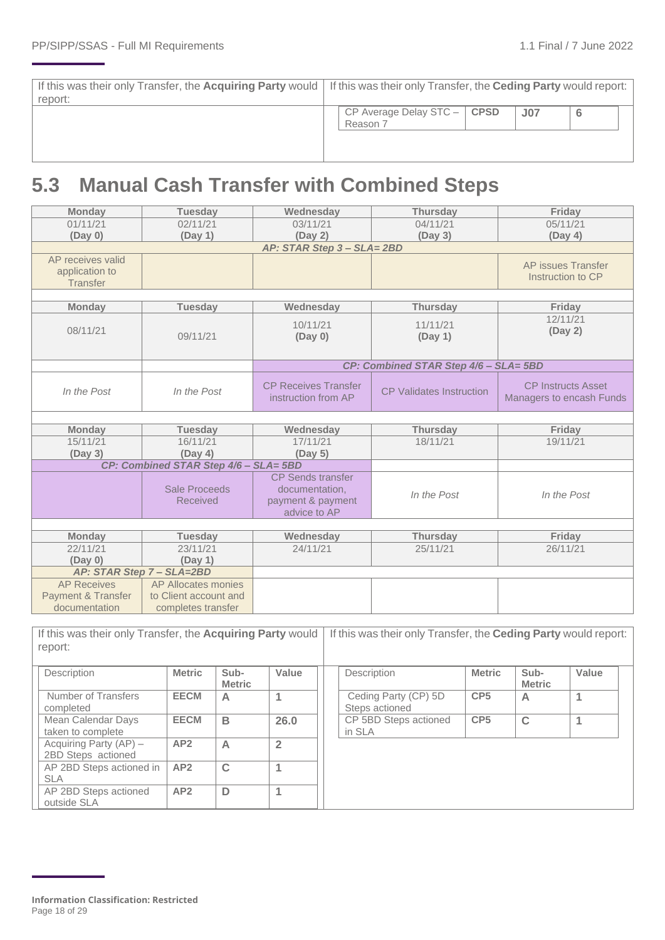| If this was their only Transfer, the Acquiring Party would   If this was their only Transfer, the Ceding Party would report:<br>report: |                                             |                 |  |
|-----------------------------------------------------------------------------------------------------------------------------------------|---------------------------------------------|-----------------|--|
|                                                                                                                                         | CP Average Delay STC $-$   CPSD<br>Reason 7 | J <sub>07</sub> |  |
|                                                                                                                                         |                                             |                 |  |

## <span id="page-17-0"></span>**5.3 Manual Cash Transfer with Combined Steps**

| <b>Monday</b>                                  | <b>Tuesday</b>                              | Wednesday                   | <b>Thursday</b>                       | Friday                    |
|------------------------------------------------|---------------------------------------------|-----------------------------|---------------------------------------|---------------------------|
| 01/11/21                                       | 02/11/21                                    | 03/11/21                    | 04/11/21                              | 05/11/21                  |
| (Day 0)                                        | (Day 1)                                     | (Day 2)                     | (Day 3)                               | (Day 4)                   |
|                                                |                                             | AP: STAR Step 3 - SLA= 2BD  |                                       |                           |
| AP receives valid                              |                                             |                             |                                       | AP issues Transfer        |
| application to                                 |                                             |                             |                                       | Instruction to CP         |
| <b>Transfer</b>                                |                                             |                             |                                       |                           |
|                                                |                                             |                             |                                       |                           |
| <b>Monday</b>                                  | <b>Tuesday</b>                              | Wednesday                   | <b>Thursday</b>                       | Friday<br>12/11/21        |
| 08/11/21                                       |                                             | 10/11/21                    | 11/11/21                              | (Day 2)                   |
|                                                | 09/11/21                                    | (Day 0)                     | (Day 1)                               |                           |
|                                                |                                             |                             |                                       |                           |
|                                                |                                             |                             | CP: Combined STAR Step 4/6 - SLA= 5BD |                           |
|                                                |                                             | <b>CP Receives Transfer</b> |                                       | <b>CP Instructs Asset</b> |
| In the Post                                    | In the Post                                 | instruction from AP         | <b>CP Validates Instruction</b>       |                           |
|                                                |                                             |                             |                                       | Managers to encash Funds  |
|                                                |                                             |                             |                                       |                           |
| <b>Monday</b>                                  | <b>Tuesday</b>                              | Wednesday                   | <b>Thursday</b>                       | Friday                    |
| 15/11/21                                       | 16/11/21                                    | 17/11/21                    | 18/11/21                              | 19/11/21                  |
| (Day 3)                                        | (Day 4)                                     | (Day 5)                     |                                       |                           |
|                                                | CP: Combined STAR Step 4/6 - SLA= 5BD       |                             |                                       |                           |
|                                                |                                             | <b>CP</b> Sends transfer    |                                       |                           |
|                                                | <b>Sale Proceeds</b>                        | documentation,              | In the Post                           | In the Post               |
|                                                | <b>Received</b>                             | payment & payment           |                                       |                           |
|                                                |                                             | advice to AP                |                                       |                           |
|                                                |                                             |                             |                                       |                           |
| <b>Monday</b>                                  | <b>Tuesday</b>                              | Wednesday                   | <b>Thursday</b>                       | Friday                    |
| 22/11/21                                       | 23/11/21                                    | 24/11/21                    | 25/11/21                              | 26/11/21                  |
| (Day 0)                                        | (Day 1)                                     |                             |                                       |                           |
|                                                | AP: STAR Step 7 - SLA=2BD                   |                             |                                       |                           |
| <b>AP Receives</b>                             | AP Allocates monies                         |                             |                                       |                           |
| <b>Payment &amp; Transfer</b><br>documentation | to Client account and<br>completes transfer |                             |                                       |                           |
|                                                |                                             |                             |                                       |                           |

If this was their only Transfer, the **Acquiring Party** would report: If this was their only Transfer, the **Ceding Party** would report: **Description Metric Sub-Metric Value**  Number of Transfers completed **EECM A 1** Mean Calendar Days taken to complete **EECM B 26.0** Acquiring Party (AP) – 2BD Steps actioned **AP2 A 2** AP 2BD Steps actioned in SLA **AP2 C 1** AP 2BD Steps actioned outside SLA **AP2 D 1 Description Metric Sub-Metric Value**  Ceding Party (CP) 5D Steps actioned **CP5 A 1** CP 5BD Steps actioned in SLA **CP5 C 1**

**Information Classification: Restricted** Page 18 of 29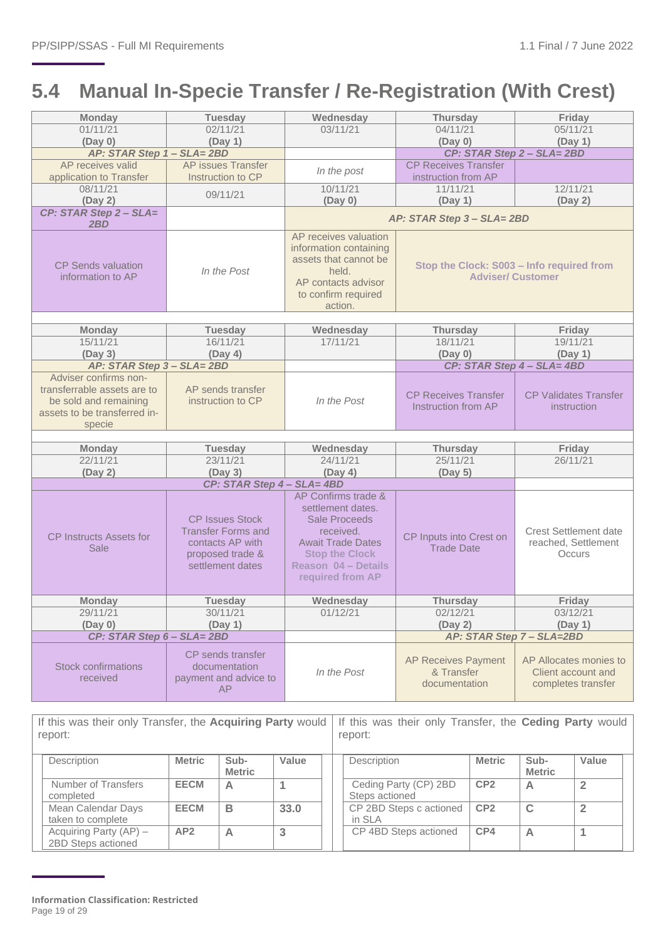## <span id="page-18-0"></span>**5.4 Manual In-Specie Transfer / Re-Registration (With Crest)**

| <b>Monday</b>                                                                                                           | <b>Tuesday</b>                                                                                                  | Wednesday                                                                                                                                                                            | <b>Thursday</b>                                                       | Friday                                                             |  |
|-------------------------------------------------------------------------------------------------------------------------|-----------------------------------------------------------------------------------------------------------------|--------------------------------------------------------------------------------------------------------------------------------------------------------------------------------------|-----------------------------------------------------------------------|--------------------------------------------------------------------|--|
| 01/11/21                                                                                                                | 02/11/21                                                                                                        | 03/11/21                                                                                                                                                                             | 04/11/21                                                              | 05/11/21                                                           |  |
| (Day 0)                                                                                                                 | (Day 1)                                                                                                         |                                                                                                                                                                                      | (Day 0)                                                               | (Day 1)                                                            |  |
| AP: STAR Step 1 - SLA= 2BD                                                                                              |                                                                                                                 |                                                                                                                                                                                      |                                                                       | CP: STAR Step 2 - SLA= 2BD                                         |  |
| AP receives valid<br>application to Transfer                                                                            | AP issues Transfer<br>Instruction to CP                                                                         | In the post                                                                                                                                                                          | <b>CP Receives Transfer</b><br>instruction from AP                    |                                                                    |  |
| 08/11/21<br>(Day 2)                                                                                                     | 09/11/21                                                                                                        | 10/11/21<br>(Day 0)                                                                                                                                                                  | 11/11/21<br>(Day 1)                                                   | 12/11/21<br>(Day 2)                                                |  |
| CP: STAR Step 2 - SLA=<br>2BD                                                                                           |                                                                                                                 |                                                                                                                                                                                      | AP: STAR Step 3 - SLA= 2BD                                            |                                                                    |  |
| <b>CP Sends valuation</b><br>information to AP                                                                          | In the Post                                                                                                     | AP receives valuation<br>information containing<br>assets that cannot be<br>held.<br>AP contacts advisor<br>to confirm required<br>action.                                           | Stop the Clock: S003 - Info required from<br><b>Adviser/ Customer</b> |                                                                    |  |
|                                                                                                                         |                                                                                                                 |                                                                                                                                                                                      |                                                                       |                                                                    |  |
| <b>Monday</b><br>15/11/21                                                                                               | <b>Tuesday</b><br>16/11/21                                                                                      | Wednesday<br>17/11/21                                                                                                                                                                | <b>Thursday</b><br>18/11/21                                           | Friday<br>19/11/21                                                 |  |
| (Day 3)                                                                                                                 | (Day 4)                                                                                                         |                                                                                                                                                                                      | (Day 0)                                                               | (Day 1)                                                            |  |
| AP: STAR Step 3 - SLA= 2BD                                                                                              |                                                                                                                 |                                                                                                                                                                                      |                                                                       | CP: STAR Step 4 - SLA= 4BD                                         |  |
| Adviser confirms non-<br>transferrable assets are to<br>be sold and remaining<br>assets to be transferred in-<br>specie | AP sends transfer<br>instruction to CP                                                                          | In the Post                                                                                                                                                                          | <b>CP Receives Transfer</b><br>Instruction from AP                    | <b>CP Validates Transfer</b><br>instruction                        |  |
| <b>Monday</b>                                                                                                           | <b>Tuesday</b>                                                                                                  | Wednesday                                                                                                                                                                            | <b>Thursday</b>                                                       | Friday                                                             |  |
| 22/11/21                                                                                                                | 23/11/21                                                                                                        | 24/11/21                                                                                                                                                                             | 25/11/21                                                              | 26/11/21                                                           |  |
| (Day 2)                                                                                                                 | (Day 3)                                                                                                         | (Day 4)                                                                                                                                                                              | (Day 5)                                                               |                                                                    |  |
|                                                                                                                         | CP: STAR Step 4 - SLA= 4BD                                                                                      |                                                                                                                                                                                      |                                                                       |                                                                    |  |
| <b>CP Instructs Assets for</b><br>Sale                                                                                  | <b>CP Issues Stock</b><br><b>Transfer Forms and</b><br>contacts AP with<br>proposed trade &<br>settlement dates | AP Confirms trade &<br>settlement dates.<br><b>Sale Proceeds</b><br>received.<br><b>Await Trade Dates</b><br><b>Stop the Clock</b><br><b>Reason 04 - Details</b><br>required from AP | CP Inputs into Crest on<br><b>Trade Date</b>                          | <b>Crest Settlement date</b><br>reached, Settlement<br>Occurs      |  |
| <b>Monday</b>                                                                                                           | <b>Tuesday</b>                                                                                                  | Wednesday                                                                                                                                                                            | <b>Thursday</b>                                                       | Friday                                                             |  |
| 29/11/21                                                                                                                | 30/11/21                                                                                                        | 01/12/21                                                                                                                                                                             | 02/12/21                                                              | 03/12/21                                                           |  |
| (Day 0)                                                                                                                 | (Day 1)                                                                                                         |                                                                                                                                                                                      | (Day 2)                                                               | (Day 1)                                                            |  |
| CP: STAR Step 6 - SLA= 2BD                                                                                              |                                                                                                                 |                                                                                                                                                                                      |                                                                       | AP: STAR Step 7 - SLA=2BD                                          |  |
| <b>Stock confirmations</b><br>received                                                                                  | CP sends transfer<br>documentation<br>payment and advice to<br><b>AP</b>                                        | In the Post                                                                                                                                                                          | <b>AP Receives Payment</b><br>& Transfer<br>documentation             | AP Allocates monies to<br>Client account and<br>completes transfer |  |

If this was their only Transfer, the **Acquiring Party** would report: If this was their only Transfer, the **Ceding Party** would report:

| <b>Description</b>                           | <b>Metric</b> | Sub-<br><b>Metric</b> | Value | Description                             | <b>Metric</b>   | Sub-<br><b>Metric</b> | Value |  |
|----------------------------------------------|---------------|-----------------------|-------|-----------------------------------------|-----------------|-----------------------|-------|--|
| Number of Transfers<br>completed             | <b>EECM</b>   | A                     |       | Ceding Party (CP) 2BD<br>Steps actioned | CP <sub>2</sub> |                       |       |  |
| Mean Calendar Days<br>taken to complete      | <b>EECM</b>   | B                     | 33.0  | CP 2BD Steps c actioned<br>in SLA       | CP <sub>2</sub> |                       |       |  |
| Acquiring Party (AP) -<br>2BD Steps actioned | AP2           | А                     |       | CP 4BD Steps actioned                   | CP4             | A                     |       |  |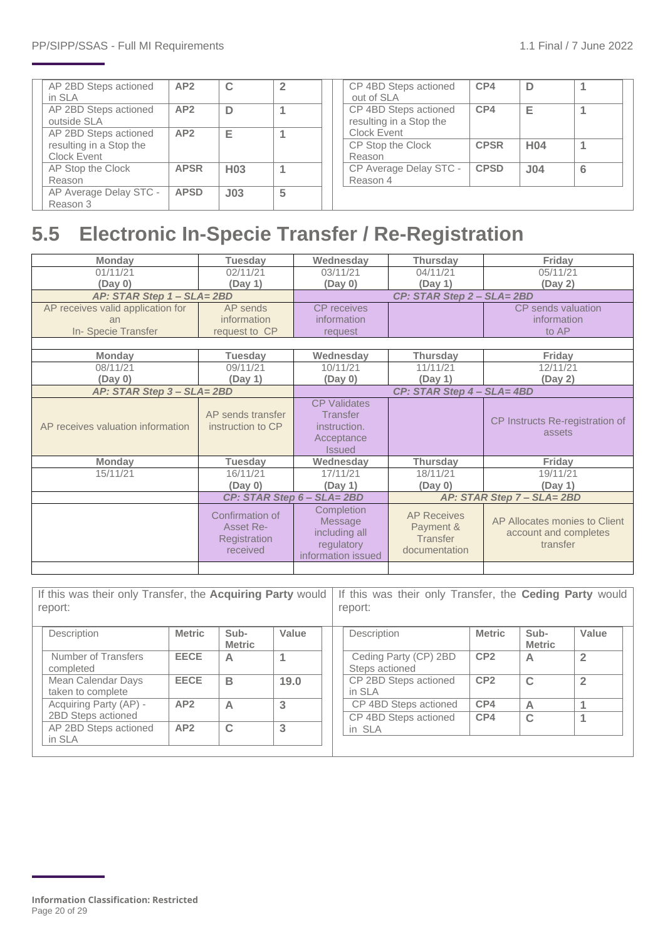| AP 2BD Steps actioned<br>in SLA      | AP2         | $\mathbf C$     |   | CP 4BD Steps actioned<br>out of SLA              | CP4         | D               |   |
|--------------------------------------|-------------|-----------------|---|--------------------------------------------------|-------------|-----------------|---|
| AP 2BD Steps actioned<br>outside SLA | AP2         | D               |   | CP 4BD Steps actioned<br>resulting in a Stop the | CP4         | Е               |   |
| AP 2BD Steps actioned                | AP2         | Е               |   | Clock Event                                      |             |                 |   |
| resulting in a Stop the              |             |                 |   | CP Stop the Clock                                | <b>CPSR</b> | H <sub>04</sub> |   |
| Clock Event                          |             |                 |   | Reason                                           |             |                 |   |
| AP Stop the Clock                    | <b>APSR</b> | H <sub>03</sub> |   | CP Average Delay STC -                           | <b>CPSD</b> | J <sub>04</sub> | 6 |
| Reason                               |             |                 |   | Reason 4                                         |             |                 |   |
| AP Average Delay STC -               | <b>APSD</b> | J <sub>03</sub> | 5 |                                                  |             |                 |   |
| Reason 3                             |             |                 |   |                                                  |             |                 |   |

## <span id="page-19-0"></span>**5.5 Electronic In-Specie Transfer / Re-Registration**

| <b>Monday</b>                     | <b>Tuesday</b>                                           | Wednesday                                                                             | <b>Thursday</b>                                              | Friday                                                             |  |  |  |
|-----------------------------------|----------------------------------------------------------|---------------------------------------------------------------------------------------|--------------------------------------------------------------|--------------------------------------------------------------------|--|--|--|
| 01/11/21                          | 02/11/21                                                 | 03/11/21                                                                              | 04/11/21                                                     | 05/11/21                                                           |  |  |  |
| (Day 0)                           | (Day 1)                                                  | (Day 0)                                                                               | (Day 1)                                                      | (Day 2)                                                            |  |  |  |
| AP: STAR Step 1 - SLA= 2BD        |                                                          |                                                                                       | CP: STAR Step 2 - SLA= 2BD                                   |                                                                    |  |  |  |
| AP receives valid application for | AP sends                                                 | <b>CP</b> receives                                                                    |                                                              | CP sends valuation                                                 |  |  |  |
| an                                | information                                              | information                                                                           |                                                              | information                                                        |  |  |  |
| In-Specie Transfer                | request to CP                                            | request                                                                               |                                                              | to AP                                                              |  |  |  |
|                                   |                                                          |                                                                                       |                                                              |                                                                    |  |  |  |
| <b>Monday</b>                     | <b>Tuesday</b>                                           | Wednesday                                                                             | <b>Thursday</b>                                              | Friday                                                             |  |  |  |
| 08/11/21                          | 09/11/21                                                 | 10/11/21                                                                              | 11/11/21                                                     | 12/11/21                                                           |  |  |  |
| (Day 0)                           | (Day 1)                                                  | (Day 0)                                                                               | (Day 1)                                                      | (Day 2)                                                            |  |  |  |
| AP: STAR Step 3 - SLA= 2BD        |                                                          | CP: STAR Step 4 - SLA= 4BD                                                            |                                                              |                                                                    |  |  |  |
| AP receives valuation information | AP sends transfer<br>instruction to CP                   | <b>CP Validates</b><br><b>Transfer</b><br>instruction.<br>Acceptance<br><b>Issued</b> |                                                              | CP Instructs Re-registration of<br>assets                          |  |  |  |
| <b>Monday</b>                     | <b>Tuesday</b>                                           | Wednesday                                                                             | <b>Thursday</b>                                              | Friday                                                             |  |  |  |
| 15/11/21                          | 16/11/21                                                 | 17/11/21                                                                              | 18/11/21                                                     | 19/11/21                                                           |  |  |  |
|                                   | (Day 0)                                                  | (Day 1)                                                                               | (Day 0)                                                      | (Day 1)                                                            |  |  |  |
|                                   |                                                          | CP: STAR Step 6 - SLA= 2BD                                                            |                                                              | AP: STAR Step 7 - SLA= 2BD                                         |  |  |  |
|                                   | Confirmation of<br>Asset Re-<br>Registration<br>received | Completion<br>Message<br>including all<br>regulatory<br>information issued            | <b>AP Receives</b><br>Payment &<br>Transfer<br>documentation | AP Allocates monies to Client<br>account and completes<br>transfer |  |  |  |
|                                   |                                                          |                                                                                       |                                                              |                                                                    |  |  |  |

| If this was their only Transfer, the Acquiring Party would<br>report: |                                         |               | If this was their only Transfer, the <b>Ceding Party</b> would<br>report: |       |                                         |                 |                       |                |
|-----------------------------------------------------------------------|-----------------------------------------|---------------|---------------------------------------------------------------------------|-------|-----------------------------------------|-----------------|-----------------------|----------------|
|                                                                       | Description                             | <b>Metric</b> | Sub-<br><b>Metric</b>                                                     | Value | Description                             | <b>Metric</b>   | Sub-<br><b>Metric</b> | Value          |
|                                                                       | Number of Transfers<br>completed        | <b>EECE</b>   | A                                                                         |       | Ceding Party (CP) 2BD<br>Steps actioned | CP <sub>2</sub> | A                     | $\overline{2}$ |
|                                                                       | Mean Calendar Days<br>taken to complete | <b>EECE</b>   | B                                                                         | 19.0  | CP 2BD Steps actioned<br>in SLA         | CP <sub>2</sub> | $\mathbf C$           | $\overline{2}$ |
|                                                                       | Acquiring Party (AP) -                  | AP2           | A                                                                         | 3     | CP 4BD Steps actioned                   | CP4             | A                     |                |
|                                                                       | 2BD Steps actioned                      |               |                                                                           |       | CP 4BD Steps actioned                   | CP4             | $\mathbf C$           |                |
|                                                                       | AP 2BD Steps actioned<br>in SLA         | AP2           | $\mathbf C$                                                               | 3     | in SLA                                  |                 |                       |                |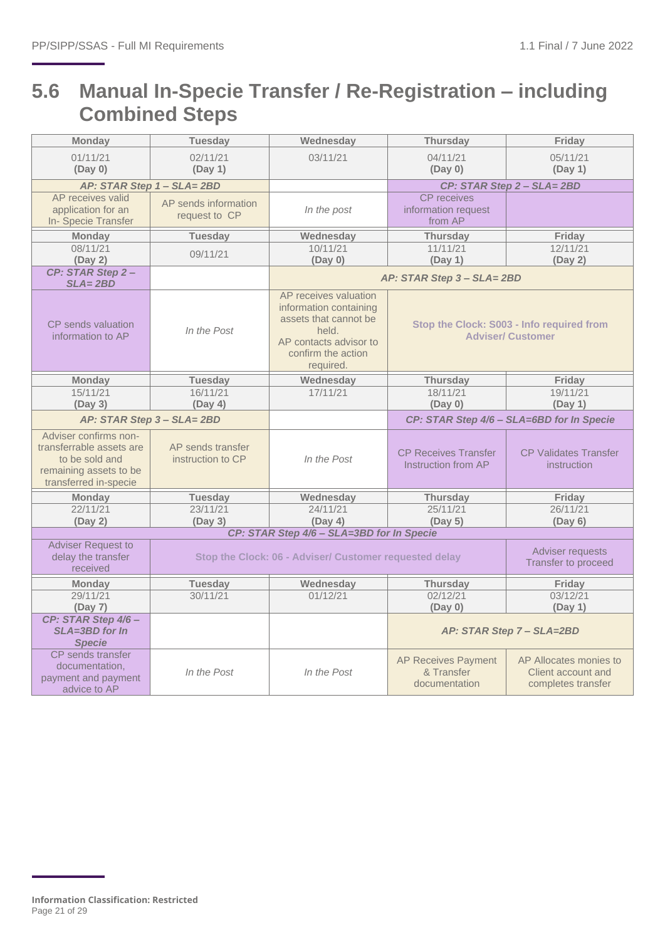## <span id="page-20-0"></span>**5.6 Manual In-Specie Transfer / Re-Registration – including Combined Steps**

| <b>Monday</b>                                                                                                          | <b>Tuesday</b>                         | Wednesday                                                                                                                                      | <b>Thursday</b>                                                       | Friday                                                             |  |
|------------------------------------------------------------------------------------------------------------------------|----------------------------------------|------------------------------------------------------------------------------------------------------------------------------------------------|-----------------------------------------------------------------------|--------------------------------------------------------------------|--|
| 01/11/21<br>(Day 0)                                                                                                    | 02/11/21<br>(Day 1)                    | 03/11/21                                                                                                                                       | 04/11/21<br>(Day 0)                                                   | 05/11/21<br>(Day 1)                                                |  |
|                                                                                                                        | AP: STAR Step 1 - SLA= 2BD             |                                                                                                                                                |                                                                       | CP: STAR Step 2 - SLA= 2BD                                         |  |
| AP receives valid<br>application for an<br>In-Specie Transfer                                                          | AP sends information<br>request to CP  | In the post                                                                                                                                    | <b>CP</b> receives<br>information request<br>from AP                  |                                                                    |  |
| <b>Monday</b>                                                                                                          | <b>Tuesday</b>                         | Wednesday                                                                                                                                      | <b>Thursday</b>                                                       | Friday                                                             |  |
| 08/11/21<br>(Day 2)                                                                                                    | 09/11/21                               | 10/11/21<br>(Day 0)                                                                                                                            | 11/11/21<br>(Day 1)                                                   | 12/11/21<br>(Day 2)                                                |  |
| CP: STAR Step 2-<br>$SLA = 2BD$                                                                                        |                                        |                                                                                                                                                | AP: STAR Step 3 - SLA= 2BD                                            |                                                                    |  |
| <b>CP</b> sends valuation<br>information to AP                                                                         | In the Post                            | AP receives valuation<br>information containing<br>assets that cannot be<br>held.<br>AP contacts advisor to<br>confirm the action<br>required. | Stop the Clock: S003 - Info required from<br><b>Adviser/ Customer</b> |                                                                    |  |
| <b>Monday</b>                                                                                                          | <b>Tuesday</b>                         | Wednesday                                                                                                                                      | <b>Thursday</b>                                                       | Friday                                                             |  |
| 15/11/21<br>(Day 3)                                                                                                    | 16/11/21<br>(Day 4)                    | 17/11/21                                                                                                                                       | 18/11/21<br>(Day 0)                                                   | 19/11/21<br>(Day 1)                                                |  |
|                                                                                                                        | AP: STAR Step 3 - SLA= 2BD             |                                                                                                                                                |                                                                       | CP: STAR Step 4/6 - SLA=6BD for In Specie                          |  |
| Adviser confirms non-<br>transferrable assets are<br>to be sold and<br>remaining assets to be<br>transferred in-specie | AP sends transfer<br>instruction to CP | In the Post                                                                                                                                    | <b>CP Receives Transfer</b><br>Instruction from AP                    | <b>CP Validates Transfer</b><br>instruction                        |  |
| <b>Monday</b>                                                                                                          | <b>Tuesday</b>                         | Wednesday                                                                                                                                      | <b>Thursday</b>                                                       | Friday                                                             |  |
| 22/11/21                                                                                                               | 23/11/21                               | 24/11/21                                                                                                                                       | 25/11/21                                                              | 26/11/21                                                           |  |
| (Day 2)                                                                                                                | (Day 3)                                | (Day 4)                                                                                                                                        | (Day 5)                                                               | (Day 6)                                                            |  |
|                                                                                                                        |                                        | CP: STAR Step 4/6 - SLA=3BD for In Specie                                                                                                      |                                                                       |                                                                    |  |
| <b>Adviser Request to</b><br>delay the transfer<br>received                                                            |                                        | Stop the Clock: 06 - Adviser/ Customer requested delay                                                                                         |                                                                       | Adviser requests<br>Transfer to proceed                            |  |
| <b>Monday</b>                                                                                                          | <b>Tuesday</b>                         | Wednesday                                                                                                                                      | <b>Thursday</b>                                                       | Friday                                                             |  |
| 29/11/21                                                                                                               | 30/11/21                               | 01/12/21                                                                                                                                       | 02/12/21                                                              | 03/12/21                                                           |  |
| (Day 7)                                                                                                                |                                        |                                                                                                                                                | (Day 0)                                                               | (Day 1)                                                            |  |
| CP: STAR Step 4/6-<br>SLA=3BD for In<br><b>Specie</b>                                                                  |                                        |                                                                                                                                                |                                                                       | AP: STAR Step 7 - SLA=2BD                                          |  |
| CP sends transfer<br>documentation,<br>payment and payment<br>advice to AP                                             | In the Post                            | In the Post                                                                                                                                    | <b>AP Receives Payment</b><br>& Transfer<br>documentation             | AP Allocates monies to<br>Client account and<br>completes transfer |  |

**Information Classification: Restricted** Page 21 of 29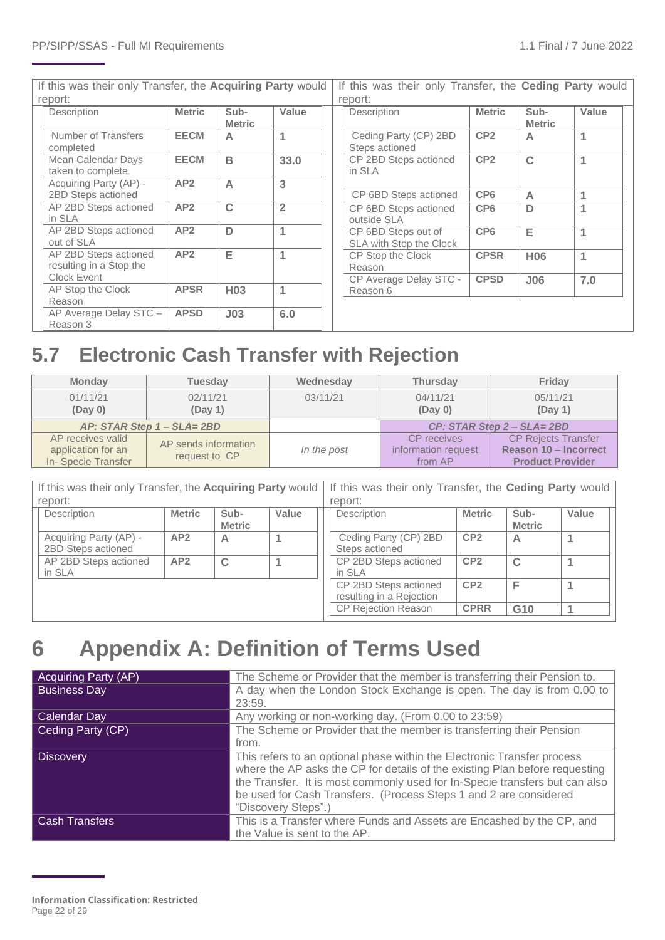If this was their only Transfer, the **Acquiring Party** would report: If this was their only Transfer, the **Ceding Party** would report:

|                                                  |                 |                       |                |  | .                                              |                             |                       |            |   |
|--------------------------------------------------|-----------------|-----------------------|----------------|--|------------------------------------------------|-----------------------------|-----------------------|------------|---|
| Description                                      | <b>Metric</b>   | Sub-<br><b>Metric</b> | Value          |  | Description                                    | <b>Metric</b>               | Sub-<br><b>Metric</b> | Value      |   |
| Number of Transfers<br>completed                 | <b>EECM</b>     | $\overline{A}$        |                |  | Ceding Party (CP) 2BD<br>Steps actioned        | CP <sub>2</sub>             | A                     | 1          |   |
| Mean Calendar Days<br>taken to complete          | <b>EECM</b>     | B                     | 33.0           |  | CP 2BD Steps actioned<br>in SLA                | CP <sub>2</sub>             | C                     |            |   |
| Acquiring Party (AP) -<br>2BD Steps actioned     | AP2             | $\overline{A}$        | 3              |  | CP 6BD Steps actioned                          | CP <sub>6</sub>             | A                     |            |   |
| AP 2BD Steps actioned<br>in SLA                  | AP2             | $\mathbf C$           | $\overline{2}$ |  | CP 6BD Steps actioned<br>outside SLA           | CP <sub>6</sub>             | D                     |            |   |
| AP 2BD Steps actioned<br>out of SLA              | AP <sub>2</sub> | D                     |                |  | CP 6BD Steps out of<br>SLA with Stop the Clock | CP <sub>6</sub>             | Е                     | 1          |   |
| AP 2BD Steps actioned<br>resulting in a Stop the | AP <sub>2</sub> | Е                     |                |  |                                                | CP Stop the Clock<br>Reason | <b>CPSR</b>           | <b>H06</b> | 1 |
| Clock Event<br>AP Stop the Clock<br>Reason       | <b>APSR</b>     | H <sub>03</sub>       |                |  | CP Average Delay STC -<br>Reason 6             | <b>CPSD</b>                 | J06                   | 7.0        |   |
| AP Average Delay STC -<br>Reason 3               | <b>APSD</b>     | J <sub>03</sub>       | 6.0            |  |                                                |                             |                       |            |   |

## <span id="page-21-0"></span>**5.7 Electronic Cash Transfer with Rejection**

| <b>Monday</b>                                                 | Tuesdav                               | Wednesday   | <b>Thursday</b>                               | Friday                                                                         |  |
|---------------------------------------------------------------|---------------------------------------|-------------|-----------------------------------------------|--------------------------------------------------------------------------------|--|
| 01/11/21<br>(Day 0)                                           | 02/11/21<br>(Day 1)                   | 03/11/21    | 04/11/21<br>(Day 0)                           | 05/11/21<br>(Day 1)                                                            |  |
|                                                               | $AP: STAR$ Step $1 - SLA = 2BD$       |             | CP: STAR Step 2 - SLA= 2BD                    |                                                                                |  |
| AP receives valid<br>application for an<br>In-Specie Transfer | AP sends information<br>request to CP | In the post | CP receives<br>information request<br>from AP | <b>CP Rejects Transfer</b><br>Reason 10 - Incorrect<br><b>Product Provider</b> |  |

If this was their only Transfer, the **Acquiring Party** would If this was their only Transfer, the **Ceding Party** would report: report:

| 1 U N U I L.                                 |               |                       |       | 000 L.                                            |                 |                       |       |
|----------------------------------------------|---------------|-----------------------|-------|---------------------------------------------------|-----------------|-----------------------|-------|
| Description                                  | <b>Metric</b> | Sub-<br><b>Metric</b> | Value | Description                                       | <b>Metric</b>   | Sub-<br><b>Metric</b> | Value |
| Acquiring Party (AP) -<br>2BD Steps actioned | AP2           | А                     |       | Ceding Party (CP) 2BD<br>Steps actioned           | CP <sub>2</sub> | Α                     |       |
| AP 2BD Steps actioned<br>in SLA              | AP2           | $\sim$                |       | CP 2BD Steps actioned<br>in SLA                   | CP <sub>2</sub> | $\mathbf C$           |       |
|                                              |               |                       |       | CP 2BD Steps actioned<br>resulting in a Rejection | CP <sub>2</sub> |                       |       |
|                                              |               |                       |       | <b>CP Rejection Reason</b>                        | <b>CPRR</b>     | G <sub>10</sub>       |       |

## <span id="page-21-1"></span>**6 Appendix A: Definition of Terms Used**

| <b>Acquiring Party (AP)</b> | The Scheme or Provider that the member is transferring their Pension to.    |
|-----------------------------|-----------------------------------------------------------------------------|
| <b>Business Day</b>         | A day when the London Stock Exchange is open. The day is from 0.00 to       |
|                             | 23:59.                                                                      |
| Calendar Day                | Any working or non-working day. (From 0.00 to 23:59)                        |
| Ceding Party (CP)           | The Scheme or Provider that the member is transferring their Pension        |
|                             | from.                                                                       |
| <b>Discovery</b>            | This refers to an optional phase within the Electronic Transfer process     |
|                             | where the AP asks the CP for details of the existing Plan before requesting |
|                             | the Transfer. It is most commonly used for In-Specie transfers but can also |
|                             | be used for Cash Transfers. (Process Steps 1 and 2 are considered           |
|                             | "Discovery Steps".)                                                         |
| <b>Cash Transfers</b>       | This is a Transfer where Funds and Assets are Encashed by the CP, and       |
|                             | the Value is sent to the AP.                                                |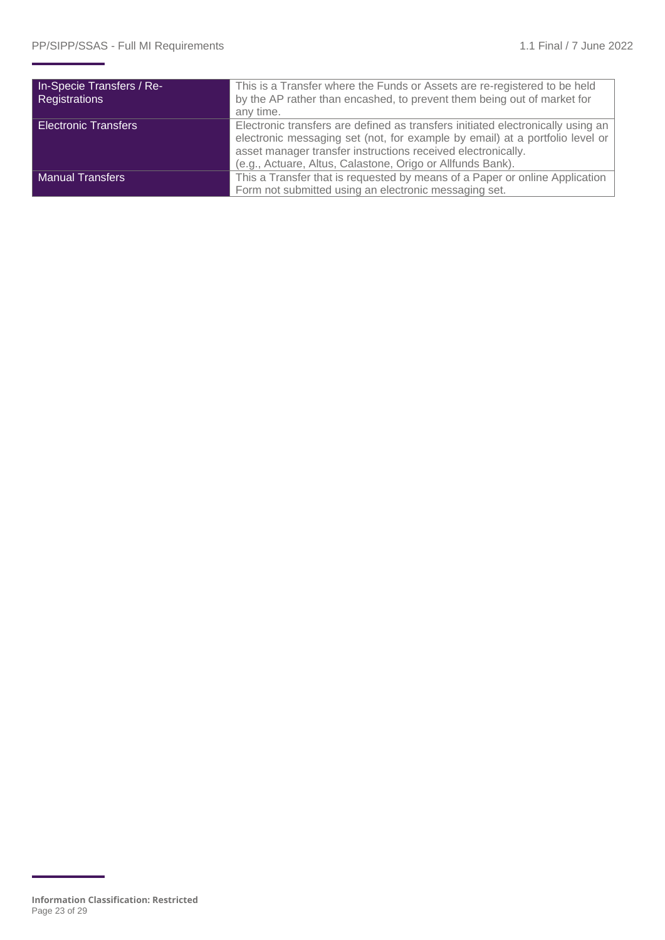| In-Specie Transfers / Re-<br>Registrations | This is a Transfer where the Funds or Assets are re-registered to be held<br>by the AP rather than encashed, to prevent them being out of market for<br>any time.                                                                                                                             |
|--------------------------------------------|-----------------------------------------------------------------------------------------------------------------------------------------------------------------------------------------------------------------------------------------------------------------------------------------------|
| <b>Electronic Transfers</b>                | Electronic transfers are defined as transfers initiated electronically using an<br>electronic messaging set (not, for example by email) at a portfolio level or<br>asset manager transfer instructions received electronically.<br>(e.g., Actuare, Altus, Calastone, Origo or Allfunds Bank). |
| <b>Manual Transfers</b>                    | This a Transfer that is requested by means of a Paper or online Application<br>Form not submitted using an electronic messaging set.                                                                                                                                                          |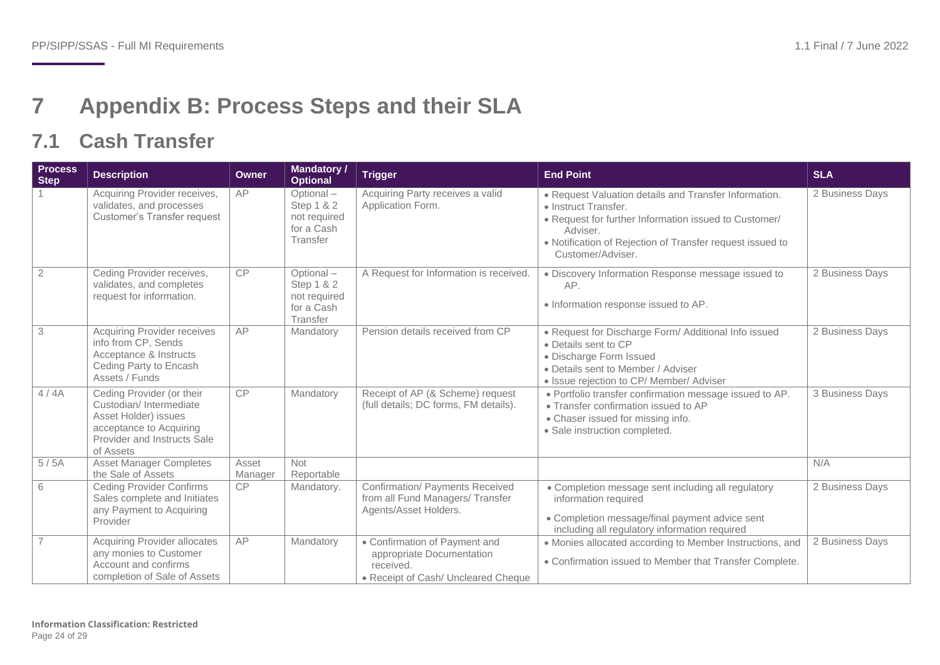## **7 Appendix B: Process Steps and their SLA**

## **7.1 Cash Transfer**

<span id="page-23-1"></span><span id="page-23-0"></span>

| <b>Process</b><br><b>Step</b> | <b>Description</b>                                                                                                                                 | Owner            | <b>Mandatory /</b><br><b>Optional</b>                             | Trigger                                                                                                        | <b>End Point</b>                                                                                                                                                                                                                     | <b>SLA</b>      |
|-------------------------------|----------------------------------------------------------------------------------------------------------------------------------------------------|------------------|-------------------------------------------------------------------|----------------------------------------------------------------------------------------------------------------|--------------------------------------------------------------------------------------------------------------------------------------------------------------------------------------------------------------------------------------|-----------------|
|                               | Acquiring Provider receives,<br>validates, and processes<br><b>Customer's Transfer request</b>                                                     | AP               | Optional-<br>Step 1 & 2<br>not required<br>for a Cash<br>Transfer | Acquiring Party receives a valid<br>Application Form.                                                          | • Request Valuation details and Transfer Information.<br>• Instruct Transfer.<br>• Request for further Information issued to Customer/<br>Adviser.<br>• Notification of Rejection of Transfer request issued to<br>Customer/Adviser. | 2 Business Days |
| $\overline{2}$                | Ceding Provider receives,<br>validates, and completes<br>request for information.                                                                  | CP               | Optional-<br>Step 1 & 2<br>not required<br>for a Cash<br>Transfer | A Request for Information is received.                                                                         | · Discovery Information Response message issued to<br>AP.<br>· Information response issued to AP.                                                                                                                                    | 2 Business Days |
| $\overline{3}$                | <b>Acquiring Provider receives</b><br>info from CP, Sends<br>Acceptance & Instructs<br>Ceding Party to Encash<br>Assets / Funds                    | AP               | Mandatory                                                         | Pension details received from CP                                                                               | • Request for Discharge Form/ Additional Info issued<br>• Details sent to CP<br>· Discharge Form Issued<br>• Details sent to Member / Adviser<br>• Issue rejection to CP/ Member/ Adviser                                            | 2 Business Days |
| 4/4A                          | Ceding Provider (or their<br>Custodian/Intermediate<br>Asset Holder) issues<br>acceptance to Acquiring<br>Provider and Instructs Sale<br>of Assets | <b>CP</b>        | Mandatory                                                         | Receipt of AP (& Scheme) request<br>(full details; DC forms, FM details).                                      | . Portfolio transfer confirmation message issued to AP.<br>• Transfer confirmation issued to AP<br>• Chaser issued for missing info.<br>· Sale instruction completed.                                                                | 3 Business Days |
| 5/5A                          | <b>Asset Manager Completes</b><br>the Sale of Assets                                                                                               | Asset<br>Manager | Not<br>Reportable                                                 |                                                                                                                |                                                                                                                                                                                                                                      | N/A             |
| 6                             | <b>Ceding Provider Confirms</b><br>Sales complete and Initiates<br>any Payment to Acquiring<br>Provider                                            | CP               | Mandatory.                                                        | Confirmation/ Payments Received<br>from all Fund Managers/ Transfer<br>Agents/Asset Holders.                   | • Completion message sent including all regulatory<br>information required<br>• Completion message/final payment advice sent<br>including all regulatory information required                                                        | 2 Business Days |
| $\overline{7}$                | <b>Acquiring Provider allocates</b><br>any monies to Customer<br>Account and confirms<br>completion of Sale of Assets                              | AP               | Mandatory                                                         | • Confirmation of Payment and<br>appropriate Documentation<br>received.<br>• Receipt of Cash/ Uncleared Cheque | • Monies allocated according to Member Instructions, and<br>• Confirmation issued to Member that Transfer Complete.                                                                                                                  | 2 Business Days |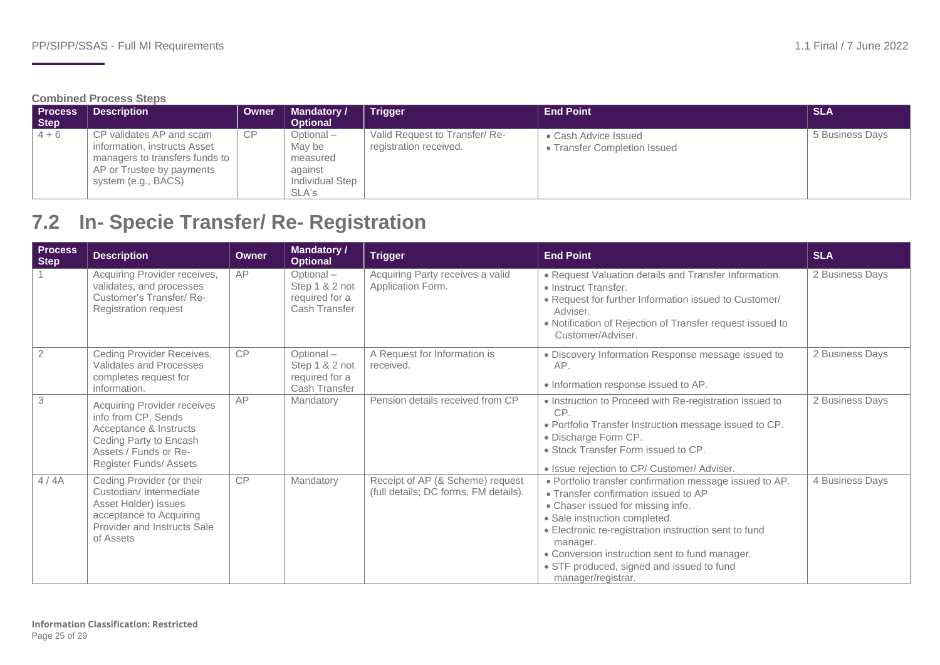#### **Combined Process Steps**

| <b>Process</b><br>Step | <b>Description</b>                                                                                                                             | <b>Owner</b> | <b>Mandatory /</b><br><b>Optional</b>                                   | <b>Trigger</b>                                           | <b>End Point</b>                                     | <b>SLA</b>      |
|------------------------|------------------------------------------------------------------------------------------------------------------------------------------------|--------------|-------------------------------------------------------------------------|----------------------------------------------------------|------------------------------------------------------|-----------------|
| $4 + 6$                | CP validates AP and scam<br>information, instructs Asset<br>managers to transfers funds to<br>AP or Trustee by payments<br>system (e.g., BACS) | <b>CP</b>    | Optional –<br>May be<br>measured<br>against<br>Individual Step<br>SLA's | Valid Request to Transfer/ Re-<br>registration received. | • Cash Advice Issued<br>• Transfer Completion Issued | 5 Business Days |

## **7.2 In- Specie Transfer/ Re- Registration**

<span id="page-24-0"></span>

| <b>Process</b><br><b>Step</b> | <b>Description</b>                                                                                                                                               | <b>Owner</b> | <b>Mandatory /</b><br><b>Optional</b>                          | <b>Trigger</b>                                                            | <b>End Point</b>                                                                                                                                                                                                                                                                                                                                                | <b>SLA</b>      |
|-------------------------------|------------------------------------------------------------------------------------------------------------------------------------------------------------------|--------------|----------------------------------------------------------------|---------------------------------------------------------------------------|-----------------------------------------------------------------------------------------------------------------------------------------------------------------------------------------------------------------------------------------------------------------------------------------------------------------------------------------------------------------|-----------------|
|                               | Acquiring Provider receives,<br>validates, and processes<br>Customer's Transfer/ Re-<br><b>Registration request</b>                                              | AP           | Optional-<br>Step 1 & 2 not<br>required for a<br>Cash Transfer | Acquiring Party receives a valid<br>Application Form.                     | • Request Valuation details and Transfer Information.<br>• Instruct Transfer.<br>• Request for further Information issued to Customer/<br>Adviser.<br>• Notification of Rejection of Transfer request issued to<br>Customer/Adviser.                                                                                                                            | 2 Business Days |
| $\overline{2}$                | Ceding Provider Receives,<br>Validates and Processes<br>completes request for<br>information.                                                                    | CP           | Optional-<br>Step 1 & 2 not<br>required for a<br>Cash Transfer | A Request for Information is<br>received.                                 | · Discovery Information Response message issued to<br>AP.<br>· Information response issued to AP.                                                                                                                                                                                                                                                               | 2 Business Days |
| $\ensuremath{\mathsf{3}}$     | Acquiring Provider receives<br>info from CP, Sends<br>Acceptance & Instructs<br>Ceding Party to Encash<br>Assets / Funds or Re-<br><b>Register Funds/ Assets</b> | AP           | Mandatory                                                      | Pension details received from CP                                          | • Instruction to Proceed with Re-registration issued to<br>CP.<br>. Portfolio Transfer Instruction message issued to CP.<br>• Discharge Form CP.<br>• Stock Transfer Form issued to CP.<br>· Issue rejection to CP/ Customer/ Adviser.                                                                                                                          | 2 Business Days |
| 4/4A                          | Ceding Provider (or their<br>Custodian/Intermediate<br>Asset Holder) issues<br>acceptance to Acquiring<br>Provider and Instructs Sale<br>of Assets               | <b>CP</b>    | Mandatory                                                      | Receipt of AP (& Scheme) request<br>(full details; DC forms, FM details). | . Portfolio transfer confirmation message issued to AP.<br>• Transfer confirmation issued to AP<br>• Chaser issued for missing info.<br>· Sale instruction completed.<br>• Electronic re-registration instruction sent to fund<br>manager.<br>• Conversion instruction sent to fund manager.<br>• STF produced, signed and issued to fund<br>manager/registrar. | 4 Business Days |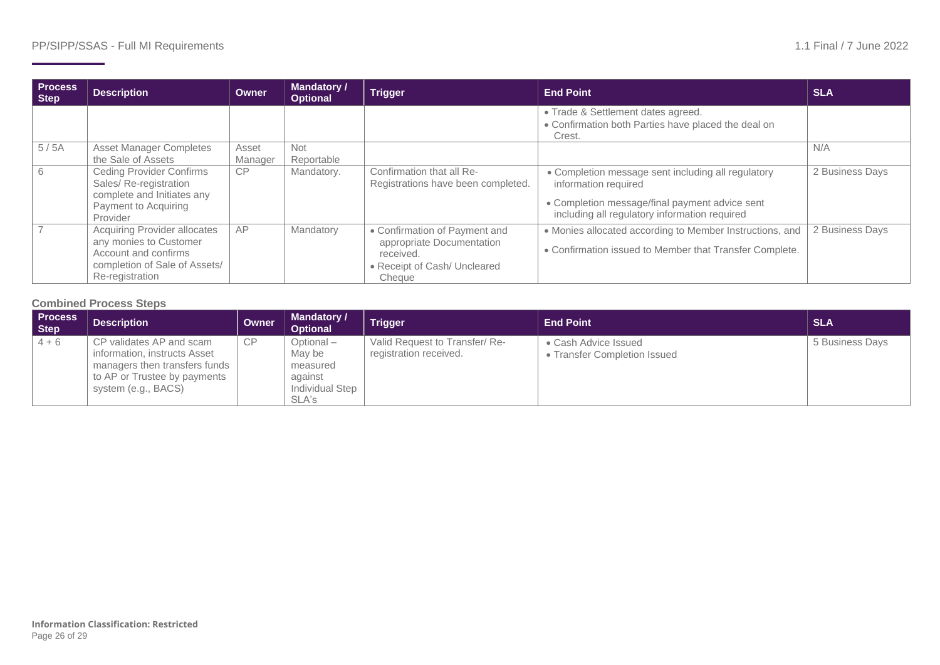| <b>Process</b><br>Step | <b>Description</b>                                                                                                                 | Owner            | <b>Mandatory /</b><br><b>Optional</b> | <b>Trigger</b>                                                                                                    | <b>End Point</b>                                                                                                                                                              | <b>SLA</b>      |
|------------------------|------------------------------------------------------------------------------------------------------------------------------------|------------------|---------------------------------------|-------------------------------------------------------------------------------------------------------------------|-------------------------------------------------------------------------------------------------------------------------------------------------------------------------------|-----------------|
|                        |                                                                                                                                    |                  |                                       |                                                                                                                   | • Trade & Settlement dates agreed.<br>• Confirmation both Parties have placed the deal on<br>Crest.                                                                           |                 |
| 5/5A                   | <b>Asset Manager Completes</b><br>the Sale of Assets                                                                               | Asset<br>Manager | <b>Not</b><br>Reportable              |                                                                                                                   |                                                                                                                                                                               | N/A             |
| 6                      | <b>Ceding Provider Confirms</b><br>Sales/Re-registration<br>complete and Initiates any<br>Payment to Acquiring<br>Provider         | CP               | Mandatory.                            | Confirmation that all Re-<br>Registrations have been completed.                                                   | • Completion message sent including all regulatory<br>information required<br>• Completion message/final payment advice sent<br>including all regulatory information required | 2 Business Days |
|                        | Acquiring Provider allocates<br>any monies to Customer<br>Account and confirms<br>completion of Sale of Assets/<br>Re-registration | AP               | Mandatory                             | • Confirmation of Payment and<br>appropriate Documentation<br>received.<br>• Receipt of Cash/ Uncleared<br>Cheque | • Monies allocated according to Member Instructions, and<br>• Confirmation issued to Member that Transfer Complete.                                                           | 2 Business Days |

#### **Combined Process Steps**

| <b>Process</b><br><b>Step</b> | <b>Description</b>                                                                                                                                 | Owner     | <b>Mandatory /</b><br><b>Optional</b>                                   | <b>Trigger</b>                                           | <b>End Point</b>                                          | <b>SLA</b>      |
|-------------------------------|----------------------------------------------------------------------------------------------------------------------------------------------------|-----------|-------------------------------------------------------------------------|----------------------------------------------------------|-----------------------------------------------------------|-----------------|
| $4 + 6$                       | CP validates AP and scam<br>information, instructs Asset<br>managers then transfers funds  <br>to AP or Trustee by payments<br>system (e.g., BACS) | <b>CP</b> | Optional -<br>May be<br>measured<br>against<br>Individual Step<br>SLA's | Valid Request to Transfer/ Re-<br>registration received. | • Cash Advice Issued<br><b>Transfer Completion Issued</b> | 5 Business Days |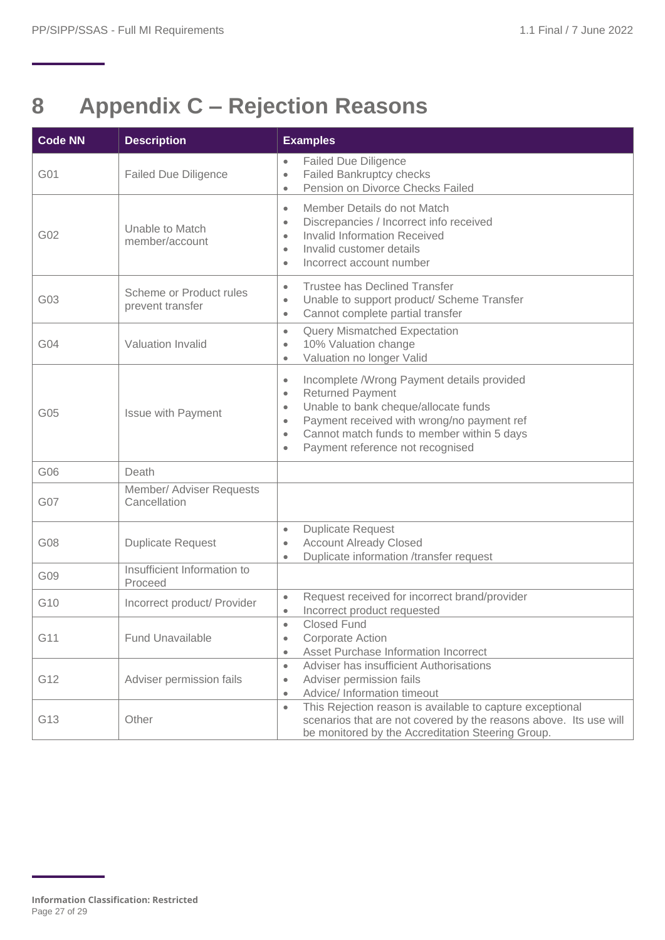## <span id="page-26-0"></span>**8 Appendix C – Rejection Reasons**

| <b>Code NN</b> | <b>Description</b>                          | <b>Examples</b>                                                                                                                                                                                                                                                                                                             |
|----------------|---------------------------------------------|-----------------------------------------------------------------------------------------------------------------------------------------------------------------------------------------------------------------------------------------------------------------------------------------------------------------------------|
| G01            | <b>Failed Due Diligence</b>                 | <b>Failed Due Diligence</b><br>$\bullet$<br>Failed Bankruptcy checks<br>$\bullet$<br>Pension on Divorce Checks Failed<br>$\bullet$                                                                                                                                                                                          |
| G02            | Unable to Match<br>member/account           | Member Details do not Match<br>$\bullet$<br>Discrepancies / Incorrect info received<br>$\bullet$<br><b>Invalid Information Received</b><br>$\bullet$<br>Invalid customer details<br>$\bullet$<br>Incorrect account number<br>$\bullet$                                                                                      |
| G03            | Scheme or Product rules<br>prevent transfer | <b>Trustee has Declined Transfer</b><br>$\bullet$<br>Unable to support product/ Scheme Transfer<br>$\bullet$<br>Cannot complete partial transfer<br>$\bullet$                                                                                                                                                               |
| G04            | Valuation Invalid                           | <b>Query Mismatched Expectation</b><br>$\bullet$<br>10% Valuation change<br>$\bullet$<br>Valuation no longer Valid<br>$\bullet$                                                                                                                                                                                             |
| G05            | <b>Issue with Payment</b>                   | Incomplete /Wrong Payment details provided<br>$\bullet$<br><b>Returned Payment</b><br>$\bullet$<br>Unable to bank cheque/allocate funds<br>$\bullet$<br>Payment received with wrong/no payment ref<br>$\bullet$<br>Cannot match funds to member within 5 days<br>$\bullet$<br>Payment reference not recognised<br>$\bullet$ |
| G06            | Death                                       |                                                                                                                                                                                                                                                                                                                             |
| G07            | Member/ Adviser Requests<br>Cancellation    |                                                                                                                                                                                                                                                                                                                             |
| G08            | <b>Duplicate Request</b>                    | <b>Duplicate Request</b><br>$\bullet$<br><b>Account Already Closed</b><br>$\bullet$<br>Duplicate information /transfer request<br>$\bullet$                                                                                                                                                                                 |
| G09            | Insufficient Information to<br>Proceed      |                                                                                                                                                                                                                                                                                                                             |
| G10            | Incorrect product/ Provider                 | Request received for incorrect brand/provider<br>$\bullet$<br>Incorrect product requested                                                                                                                                                                                                                                   |
| G11            | <b>Fund Unavailable</b>                     | Closed Fund<br>$\bullet$<br><b>Corporate Action</b><br>$\bullet$<br>Asset Purchase Information Incorrect<br>$\bullet$                                                                                                                                                                                                       |
| G12            | Adviser permission fails                    | Adviser has insufficient Authorisations<br>$\bullet$<br>Adviser permission fails<br>$\bullet$<br>Advice/ Information timeout<br>$\bullet$                                                                                                                                                                                   |
| G13            | Other                                       | This Rejection reason is available to capture exceptional<br>$\bullet$<br>scenarios that are not covered by the reasons above. Its use will<br>be monitored by the Accreditation Steering Group.                                                                                                                            |

<span id="page-26-1"></span>**Information Classification: Restricted** Page 27 of 29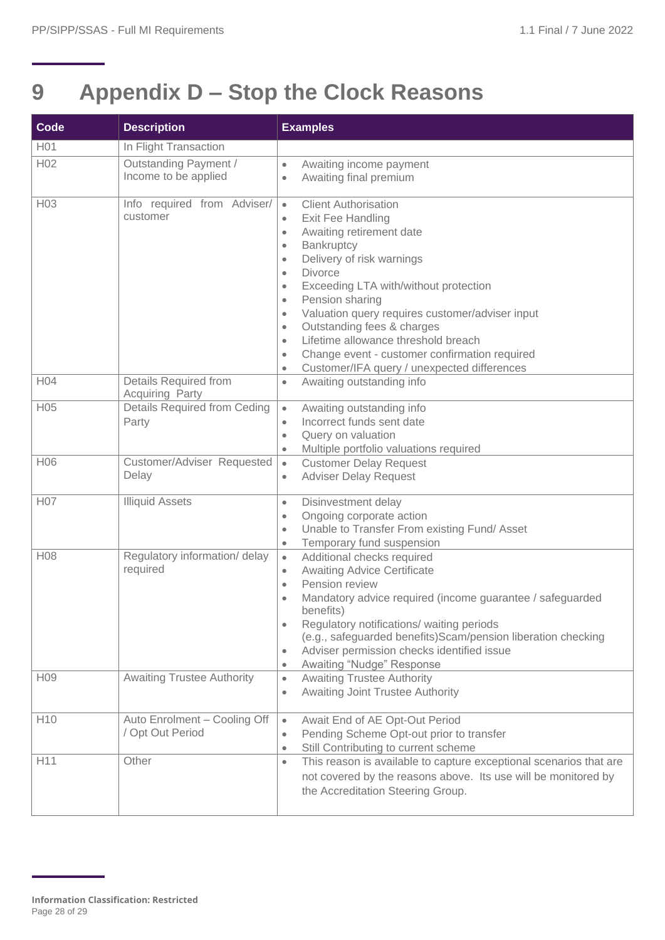## **9 Appendix D – Stop the Clock Reasons**

| Code            | <b>Description</b>                                     | <b>Examples</b>                                                                                                                                                                                                                                                                                                                                                                                                                                                                                                                                                                                        |
|-----------------|--------------------------------------------------------|--------------------------------------------------------------------------------------------------------------------------------------------------------------------------------------------------------------------------------------------------------------------------------------------------------------------------------------------------------------------------------------------------------------------------------------------------------------------------------------------------------------------------------------------------------------------------------------------------------|
| H01             | In Flight Transaction                                  |                                                                                                                                                                                                                                                                                                                                                                                                                                                                                                                                                                                                        |
| H02             | Outstanding Payment /<br>Income to be applied          | Awaiting income payment<br>$\bullet$<br>Awaiting final premium<br>$\bullet$                                                                                                                                                                                                                                                                                                                                                                                                                                                                                                                            |
| H <sub>03</sub> | Info required from Adviser/<br>customer                | <b>Client Authorisation</b><br>$\bullet$<br>Exit Fee Handling<br>$\bullet$<br>Awaiting retirement date<br>$\bullet$<br>Bankruptcy<br>$\bullet$<br>Delivery of risk warnings<br>$\bullet$<br><b>Divorce</b><br>$\bullet$<br>Exceeding LTA with/without protection<br>$\bullet$<br>Pension sharing<br>$\bullet$<br>Valuation query requires customer/adviser input<br>$\bullet$<br>Outstanding fees & charges<br>$\bullet$<br>Lifetime allowance threshold breach<br>$\bullet$<br>Change event - customer confirmation required<br>$\bullet$<br>Customer/IFA query / unexpected differences<br>$\bullet$ |
| H04             | <b>Details Required from</b><br><b>Acquiring Party</b> | Awaiting outstanding info<br>$\bullet$                                                                                                                                                                                                                                                                                                                                                                                                                                                                                                                                                                 |
| H05             | Details Required from Ceding<br>Party                  | Awaiting outstanding info<br>$\bullet$<br>Incorrect funds sent date<br>$\bullet$<br>Query on valuation<br>$\bullet$<br>Multiple portfolio valuations required<br>$\bullet$                                                                                                                                                                                                                                                                                                                                                                                                                             |
| H06             | Customer/Adviser Requested<br>Delay                    | <b>Customer Delay Request</b><br>$\bullet$<br><b>Adviser Delay Request</b><br>$\bullet$                                                                                                                                                                                                                                                                                                                                                                                                                                                                                                                |
| H07             | <b>Illiquid Assets</b>                                 | Disinvestment delay<br>$\bullet$<br>Ongoing corporate action<br>$\bullet$<br>Unable to Transfer From existing Fund/Asset<br>$\bullet$<br>Temporary fund suspension<br>$\bullet$                                                                                                                                                                                                                                                                                                                                                                                                                        |
| H08             | Regulatory information/ delay<br>required              | Additional checks required<br>$\bullet$<br><b>Awaiting Advice Certificate</b><br>$\bullet$<br>Pension review<br>$\bullet$<br>Mandatory advice required (income guarantee / safeguarded<br>$\bullet$<br>benefits)<br>Regulatory notifications/ waiting periods<br>$\bullet$<br>(e.g., safeguarded benefits)Scam/pension liberation checking<br>Adviser permission checks identified issue<br>$\bullet$<br>Awaiting "Nudge" Response<br>$\bullet$                                                                                                                                                        |
| H <sub>09</sub> | <b>Awaiting Trustee Authority</b>                      | <b>Awaiting Trustee Authority</b><br>$\bullet$<br><b>Awaiting Joint Trustee Authority</b><br>$\bullet$                                                                                                                                                                                                                                                                                                                                                                                                                                                                                                 |
| H <sub>10</sub> | Auto Enrolment - Cooling Off<br>/ Opt Out Period       | Await End of AE Opt-Out Period<br>$\bullet$<br>Pending Scheme Opt-out prior to transfer<br>$\bullet$<br>Still Contributing to current scheme<br>$\bullet$                                                                                                                                                                                                                                                                                                                                                                                                                                              |
| H11             | Other                                                  | This reason is available to capture exceptional scenarios that are<br>$\bullet$<br>not covered by the reasons above. Its use will be monitored by<br>the Accreditation Steering Group.                                                                                                                                                                                                                                                                                                                                                                                                                 |

<span id="page-27-0"></span>**Information Classification: Restricted** Page 28 of 29